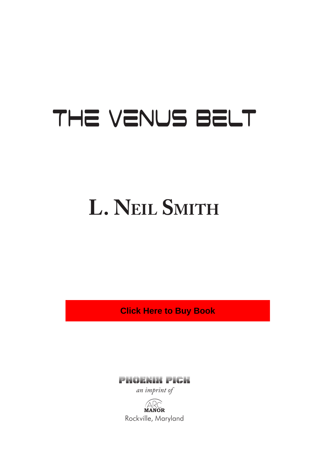# The Venus Belt

# **L. NeiL Smith**

**Click Here to Buy Book**

Phoenix Pick

*an imprint of*

**ARC**<br>**MANOR** Rockville, Maryland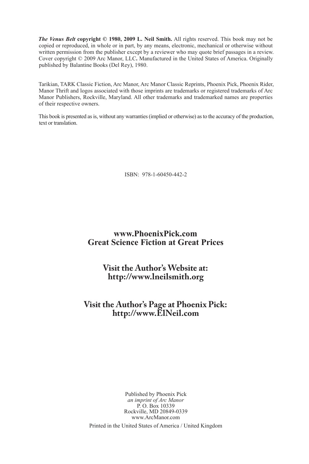*The Venus Belt* **copyright © 1980, 2009 L. Neil Smith.** All rights reserved. This book may not be copied or reproduced, in whole or in part, by any means, electronic, mechanical or otherwise without written permission from the publisher except by a reviewer who may quote brief passages in a review. Cover copyright © 2009 Arc Manor, LLC**.** Manufactured in the United States of America. Originally published by Balantine Books (Del Rey), 1980.

Tarikian, TARK Classic Fiction, Arc Manor, Arc Manor Classic Reprints, Phoenix Pick, Phoenix Rider, Manor Thrift and logos associated with those imprints are trademarks or registered trademarks of Arc Manor Publishers, Rockville, Maryland. All other trademarks and trademarked names are properties of their respective owners.

This book is presented as is, without any warranties (implied or otherwise) as to the accuracy of the production, text or translation.

ISBN: 978-1-60450-442-2

#### **www.PhoenixPick.com Great Science Fiction at Great Prices**

#### **Visit the Author's Website at: http://www.lneilsmith.org**

# **Visit the Author's Page at Phoenix Pick: http://www.ElNeil.com**

Published by Phoenix Pick *an imprint of Arc Manor* P. O. Box 10339 Rockville, MD 20849-0339 www.ArcManor.com

Printed in the United States of America / United Kingdom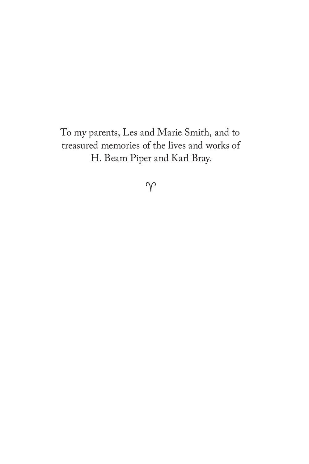To my parents, Les and Marie Smith, and to treasured memories of the lives and works of H. Beam Piper and Karl Bray.

 $\gamma$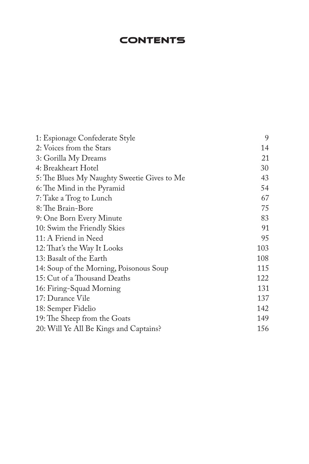# **CONTENTS**

| 1: Espionage Confederate Style              | 9   |
|---------------------------------------------|-----|
| 2: Voices from the Stars                    | 14  |
| 3: Gorilla My Dreams                        | 21  |
| 4: Breakheart Hotel                         | 30  |
| 5: The Blues My Naughty Sweetie Gives to Me | 43  |
| 6: The Mind in the Pyramid                  | 54  |
| 7: Take a Trog to Lunch                     | 67  |
| 8: The Brain-Bore                           | 75  |
| 9: One Born Every Minute                    | 83  |
| 10: Swim the Friendly Skies                 | 91  |
| 11: A Friend in Need                        | 95  |
| 12: That's the Way It Looks                 | 103 |
| 13: Basalt of the Earth                     | 108 |
| 14: Soup of the Morning, Poisonous Soup     | 115 |
| 15: Cut of a Thousand Deaths                | 122 |
| 16: Firing-Squad Morning                    | 131 |
| 17: Durance Vile                            | 137 |
| 18: Semper Fidelio                          | 142 |
| 19: The Sheep from the Goats                | 149 |
| 20: Will Ye All Be Kings and Captains?      | 156 |
|                                             |     |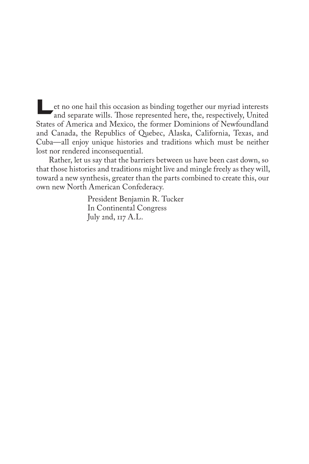Let no one hail this occasion as binding together our myriad interests and separate wills. Those represented here, the, respectively, United States of America and Mexico, the former Dominions of Newfoundland and Canada, the Republics of Quebec, Alaska, California, Texas, and Cuba—all enjoy unique histories and traditions which must be neither lost nor rendered inconsequential.

Rather, let us say that the barriers between us have been cast down, so that those histories and traditions might live and mingle freely as they will, toward a new synthesis, greater than the parts combined to create this, our own new North American Confederacy.

> President Benjamin R. Tucker In Continental Congress July 2nd, 117 A.L.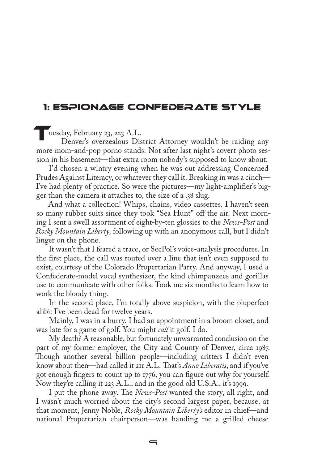### 1: Espionage Confederate Style

Tuesday, February 23, 223 A.L.

Denver's overzealous District Attorney wouldn't be raiding any more mom-and-pop porno stands. Not after last night's covert photo session in his basement—that extra room nobody's supposed to know about.

I'd chosen a wintry evening when he was out addressing Concerned Prudes Against Literacy, or whatever they call it. Breaking in was a cinch— I've had plenty of practice. So were the pictures—my light-amplifier's bigger than the camera it attaches to, the size of a .38 slug.

And what a collection! Whips, chains, video cassettes. I haven't seen so many rubber suits since they took "Sea Hunt" off the air. Next morning I sent a swell assortment of eight-by-ten glossies to the *News-Post* and *Rocky Mountain Liberty,* following up with an anonymous call, but I didn't linger on the phone.

It wasn't that I feared a trace, or SecPol's voice-analysis procedures. In the first place, the call was routed over a line that isn't even supposed to exist, courtesy of the Colorado Propertarian Party. And anyway, I used a Confederate-model vocal synthesizer, the kind chimpanzees and gorillas use to communicate with other folks. Took me six months to learn how to work the bloody thing.

In the second place, I'm totally above suspicion, with the pluperfect alibi: I've been dead for twelve years.

Mainly, I was in a hurry. I had an appointment in a broom closet, and was late for a game of golf. You might *call* it golf. I do.

My death? A reasonable, but fortunately unwarranted conclusion on the part of my former employer, the City and County of Denver, circa 1987. Though another several billion people—including critters I didn't even know about then—had called it 211 A.L. That's *Anno Liberatis*, and if you've got enough fingers to count up to 1776, you can figure out why for yourself. Now they're calling it 223 A.L., and in the good old U.S.A., it's 1999.

I put the phone away. The *News-Post* wanted the story, all right, and I wasn't much worried about the city's second largest paper, because, at that moment, Jenny Noble, *Rocky Mountain Liberty's* editor in chief—and national Propertarian chairperson—was handing me a grilled cheese

 $\equiv$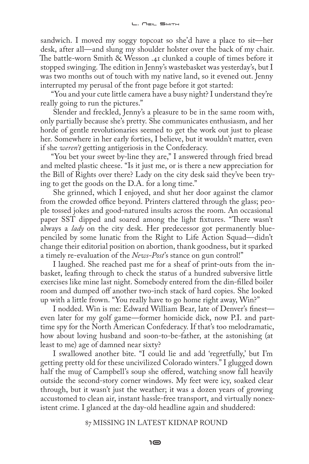sandwich. I moved my soggy topcoat so she'd have a place to sit—her desk, after all—and slung my shoulder holster over the back of my chair. The battle-worn Smith & Wesson .41 clunked a couple of times before it stopped swinging. The edition in Jenny's wastebasket was yesterday's, but I was two months out of touch with my native land, so it evened out. Jenny interrupted my perusal of the front page before it got started:

"You and your cute little camera have a busy night? I understand they're really going to run the pictures."

Slender and freckled, Jenny's a pleasure to be in the same room with, only partially because she's pretty. She communicates enthusiasm, and her horde of gentle revolutionaries seemed to get the work out just to please her. Somewhere in her early forties, I believe, but it wouldn't matter, even if she *weren't* getting antigeriosis in the Confederacy.

"You bet your sweet by-line they are," I answered through fried bread and melted plastic cheese. "Is it just me, or is there a new appreciation for the Bill of Rights over there? Lady on the city desk said they've been trying to get the goods on the D.A. for a long time."

She grinned, which I enjoyed, and shut her door against the clamor from the crowded office beyond. Printers clattered through the glass; people tossed jokes and good-natured insults across the room. An occasional paper SST dipped and soared among the light fixtures. "There wasn't always a *lady* on the city desk. Her predecessor got permanently bluepenciled by some lunatic from the Right to Life Action Squad—didn't change their editorial position on abortion, thank goodness, but it sparked a timely re-evaluation of the *News-Post*'s stance on gun control!"

I laughed. She reached past me for a sheaf of print-outs from the inbasket, leafing through to check the status of a hundred subversive little exercises like mine last night. Somebody entered from the din-filled boiler room and dumped off another two-inch stack of hard copies. She looked up with a little frown. "You really have to go home right away, Win?"

I nodded. Win is me: Edward William Bear, late of Denver's finest even later for my golf game—former homicide dick, now P.I. and parttime spy for the North American Confederacy. If that's too melodramatic, how about loving husband and soon-to-be-father, at the astonishing (at least to me) age of damned near sixty?

I swallowed another bite. "I could lie and add 'regretfully,' but I'm getting pretty old for these uncivilized Colorado winters." I glugged down half the mug of Campbell's soup she offered, watching snow fall heavily outside the second-story corner windows. My feet were icy, soaked clear through, but it wasn't just the weather; it was a dozen years of growing accustomed to clean air, instant hassle-free transport, and virtually nonexistent crime. I glanced at the day-old headline again and shuddered:

#### 87 MISSING IN LATEST KIDNAP ROUND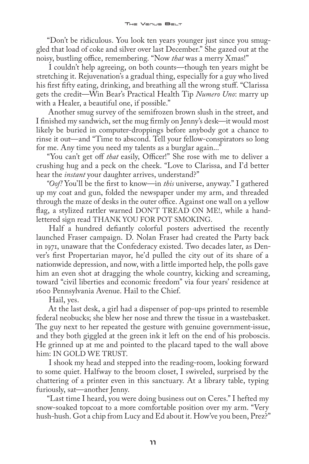"Don't be ridiculous. You look ten years younger just since you smuggled that load of coke and silver over last December." She gazed out at the noisy, bustling office, remembering. "Now *that* was a merry Xmas!"

I couldn't help agreeing, on both counts—though ten years might be stretching it. Rejuvenation's a gradual thing, especially for a guy who lived his first fifty eating, drinking, and breathing all the wrong stuff. "Clarissa gets the credit—Win Bear's Practical Health Tip *Numero Uno*: marry up with a Healer, a beautiful one, if possible."

Another smug survey of the semifrozen brown slush in the street, and I finished my sandwich, set the mug firmly on Jenny's desk—it would most likely be buried in computer-droppings before anybody got a chance to rinse it out—and "Time to abscond. Tell your fellow-conspirators so long for me. Any time you need my talents as a burglar again..."

"You can't get off *that* easily, Officer!" She rose with me to deliver a crushing hug and a peck on the cheek. "Love to Clarissa, and I'd better hear the *instant* your daughter arrives, understand?"

*"Oof!* You'll be the first to know—in *this* universe, anyway." I gathered up my coat and gun, folded the newspaper under my arm, and threaded through the maze of desks in the outer office. Against one wall on a yellow flag, a stylized rattler warned DON'T TREAD ON ME!, while a handlettered sign read THANK YOU FOR POT SMOKING.

Half a hundred defiantly colorful posters advertised the recently launched Fraser campaign. D. Nolan Fraser had created the Party back in 1971, unaware that the Confederacy existed. Two decades later, as Denver's first Propertarian mayor, he'd pulled the city out of its share of a nationwide depression, and now, with a little imported help, the polls gave him an even shot at dragging the whole country, kicking and screaming, toward "civil liberties and economic freedom" via four years' residence at 1600 Pennsylvania Avenue. Hail to the Chief.

Hail, yes.

At the last desk, a girl had a dispenser of pop-ups printed to resemble federal neobucks; she blew her nose and threw the tissue in a wastebasket. The guy next to her repeated the gesture with genuine government-issue, and they both giggled at the green ink it left on the end of his proboscis. He grinned up at me and pointed to the placard taped to the wall above him: IN GOLD WE TRUST.

I shook my head and stepped into the reading-room, looking forward to some quiet. Halfway to the broom closet, I swiveled, surprised by the chattering of a printer even in this sanctuary. At a library table, typing furiously, sat—another Jenny.

"Last time I heard, you were doing business out on Ceres." I hefted my snow-soaked topcoat to a more comfortable position over my arm. "Very hush-hush. Got a chip from Lucy and Ed about it. How've you been, Prez?"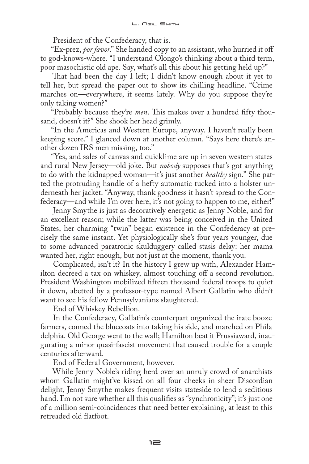President of the Confederacy, that is.

"Ex-prez, *por favor*." She handed copy to an assistant, who hurried it off to god-knows-where. "I understand Olongo's thinking about a third term, poor masochistic old ape. Say, what's all this about his getting held up?"

That had been the day I left; I didn't know enough about it yet to tell her, but spread the paper out to show its chilling headline. "Crime marches on—everywhere, it seems lately. Why do you suppose they're only taking women?"

"Probably because they're *men*. This makes over a hundred fifty thousand, doesn't it?" She shook her head grimly.

"In the Americas and Western Europe, anyway. I haven't really been keeping score." I glanced down at another column. "Says here there's another dozen IRS men missing, too."

"Yes, and sales of canvas and quicklime are up in seven western states and rural New Jersey—old joke. But *nobody* supposes that's got anything to do with the kidnapped woman—it's just another *healthy* sign." She patted the protruding handle of a hefty automatic tucked into a holster underneath her jacket. "Anyway, thank goodness it hasn't spread to the Confederacy—and while I'm over here, it's not going to happen to me, either!"

Jenny Smythe is just as decoratively energetic as Jenny Noble, and for an excellent reason; while the latter was being conceived in the United States, her charming "twin" began existence in the Confederacy at precisely the same instant. Yet physiologically she's four years younger, due to some advanced paratronic skulduggery called stasis delay: her mama wanted her, right enough, but not just at the moment, thank you.

Complicated, isn't it? In the history I grew up with, Alexander Hamilton decreed a tax on whiskey, almost touching off a second revolution. President Washington mobilized fifteen thousand federal troops to quiet it down, abetted by a professor-type named Albert Gallatin who didn't want to see his fellow Pennsylvanians slaughtered.

End of Whiskey Rebellion.

In the Confederacy, Gallatin's counterpart organized the irate boozefarmers, conned the bluecoats into taking his side, and marched on Philadelphia. Old George went to the wall; Hamilton beat it Prussiaward, inaugurating a minor quasi-fascist movement that caused trouble for a couple centuries afterward.

End of Federal Government, however.

While Jenny Noble's riding herd over an unruly crowd of anarchists whom Gallatin might've kissed on all four cheeks in sheer Discordian delight, Jenny Smythe makes frequent visits stateside to lend a seditious hand. I'm not sure whether all this qualifies as "synchronicity"; it's just one of a million semi-coincidences that need better explaining, at least to this retreaded old flatfoot.

 $\equiv$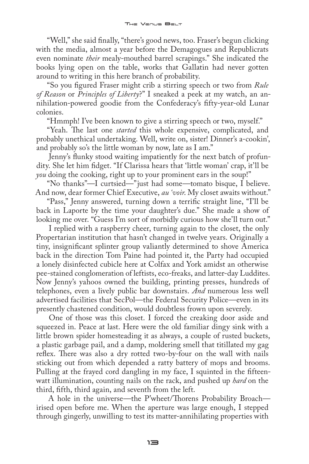"Well," she said finally, "there's good news, too. Fraser's begun clicking with the media, almost a year before the Demagogues and Republicrats even nominate *their* mealy-mouthed barrel scrapings." She indicated the books lying open on the table, works that Gallatin had never gotten around to writing in this here branch of probability.

"So you figured Fraser might crib a stirring speech or two from *Rule of Reason* or *Principles of Liberty*?" I sneaked a peek at my watch, an annihilation-powered goodie from the Confederacy's fifty-year-old Lunar colonies.

"Hmmph! I've been known to give a stirring speech or two, myself."

"Yeah. The last one *started* this whole expensive, complicated, and probably unethical undertaking. Well, write on, sister! Dinner's a-cookin', and probably so's the little woman by now, late as I am."

Jenny's flunky stood waiting impatiently for the next batch of profundity. She let him fidget. "If Clarissa hears that 'little woman' crap, it'll be *you* doing the cooking, right up to your prominent ears in the soup!"

"No thanks"—I curtsied—"just had some—tomato bisque, I believe. And now, dear former Chief Executive, *au 'voir*. My closet awaits without."

"Pass," Jenny answered, turning down a terrific straight line, "I'll be back in Laporte by the time your daughter's due." She made a show of looking me over. "Guess I'm sort of morbidly curious how she'll turn out."

I replied with a raspberry cheer, turning again to the closet, the only Propertarian institution that hasn't changed in twelve years. Originally a tiny, insignificant splinter group valiantly determined to shove America back in the direction Tom Paine had pointed it, the Party had occupied a lonely disinfected cubicle here at Colfax and York amidst an otherwise pee-stained conglomeration of leftists, eco-freaks, and latter-day Luddites. Now Jenny's yahoos owned the building, printing presses, hundreds of telephones, even a lively public bar downstairs. *And* numerous less well advertised facilities that SecPol—the Federal Security Police—even in its presently chastened condition, would doubtless frown upon severely.

One of those was this closet. I forced the creaking door aside and squeezed in. Peace at last. Here were the old familiar dingy sink with a little brown spider homesteading it as always, a couple of rusted buckets, a plastic garbage pail, and a damp, moldering smell that titillated my gag reflex. There was also a dry rotted two-by-four on the wall with nails sticking out from which depended a ratty battery of mops and brooms. Pulling at the frayed cord dangling in my face, I squinted in the fifteenwatt illumination, counting nails on the rack, and pushed up *hard* on the third, fifth, third again, and seventh from the left.

A hole in the universe—the P'wheet/Thorens Probability Broach irised open before me. When the aperture was large enough, I stepped through gingerly, unwilling to test its matter-annihilating properties with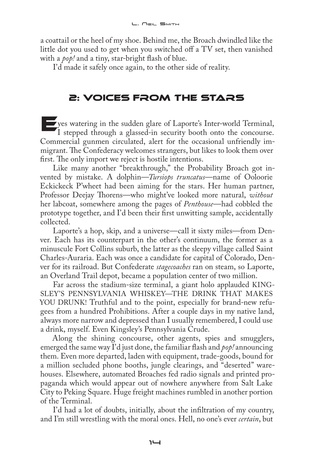a coattail or the heel of my shoe. Behind me, the Broach dwindled like the little dot you used to get when you switched off a TV set, then vanished with a *pop!* and a tiny, star-bright flash of blue.

I'd made it safely once again, to the other side of reality.

### 2: Voices from the Stars

Eyes watering in the sudden glare of Laporte's Inter-world Terminal, I stepped through a glassed-in security booth onto the concourse. Commercial gunmen circulated, alert for the occasional unfriendly immigrant. The Confederacy welcomes strangers, but likes to look them over first. The only import we reject is hostile intentions.

Like many another "breakthrough," the Probability Broach got invented by mistake. A dolphin—*Tursiops truncatus*—name of Ooloorie Eckickeck P'wheet had been aiming for the stars. Her human partner, Professor Deejay Thorens—who might've looked more natural, *without*  her labcoat, somewhere among the pages of *Penthouse*—had cobbled the prototype together, and I'd been their first unwitting sample, accidentally collected.

Laporte's a hop, skip, and a universe—call it sixty miles—from Denver. Each has its counterpart in the other's continuum, the former as a minuscule Fort Collins suburb, the latter as the sleepy village called Saint Charles-Auraria. Each was once a candidate for capital of Colorado, Denver for its railroad. But Confederate *stagecoaches* ran on steam, so Laporte, an Overland Trail depot, became a population center of two million.

Far across the stadium-size terminal, a giant holo applauded KING-SLEY'S PENNSYLVANIA WHISKEY—THE DRINK THAT MAKES YOU DRUNK! Truthful and to the point, especially for brand-new refugees from a hundred Prohibitions. After a couple days in my native land, always more narrow and depressed than I usually remembered, I could use a drink, myself. Even Kingsley's Pennsylvania Crude.

Along the shining concourse, other agents, spies and smugglers, emerged the same way I'd just done, the familiar flash and *pop!* announcing them. Even more departed, laden with equipment, trade-goods, bound for a million secluded phone booths, jungle clearings, and "deserted" warehouses. Elsewhere, automated Broaches fed radio signals and printed propaganda which would appear out of nowhere anywhere from Salt Lake City to Peking Square. Huge freight machines rumbled in another portion of the Terminal.

I'd had a lot of doubts, initially, about the infiltration of my country, and I'm still wrestling with the moral ones. Hell, no one's ever *certain*, but

 $1 -$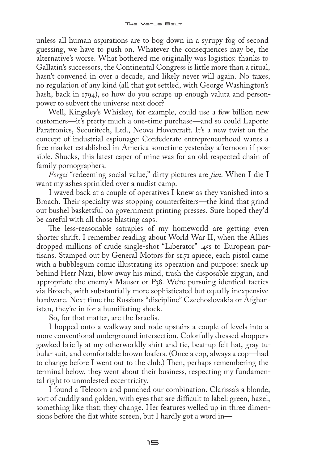unless all human aspirations are to bog down in a syrupy fog of second guessing, we have to push on. Whatever the consequences may be, the alternative's worse. What bothered me originally was logistics: thanks to Gallatin's successors, the Continental Congress is little more than a ritual, hasn't convened in over a decade, and likely never will again. No taxes, no regulation of any kind (all that got settled, with George Washington's hash, back in 1794), so how do you scrape up enough valuta and personpower to subvert the universe next door?

Well, Kingsley's Whiskey, for example, could use a few billion new customers—it's pretty much a one-time purchase—and so could Laporte Paratronics, Securitech, Ltd., Neova Hovercraft. It's a new twist on the concept of industrial espionage: Confederate entrepreneurhood wants a free market established in America sometime yesterday afternoon if possible. Shucks, this latest caper of mine was for an old respected chain of family pornographers.

*Forget* "redeeming social value," dirty pictures are *fun.* When I die I want my ashes sprinkled over a nudist camp.

I waved back at a couple of operatives I knew as they vanished into a Broach. Their specialty was stopping counterfeiters—the kind that grind out bushel basketsful on government printing presses. Sure hoped they'd be careful with all those blasting caps.

The less-reasonable satrapies of my homeworld are getting even shorter shrift. I remember reading about World War II, when the Allies dropped millions of crude single-shot "Liberator" .45s to European partisans. Stamped out by General Motors for \$1.71 apiece, each pistol came with a bubblegum comic illustrating its operation and purpose: sneak up behind Herr Nazi, blow away his mind, trash the disposable zipgun, and appropriate the enemy's Mauser or P38. We're pursuing identical tactics via Broach, with substantially more sophisticated but equally inexpensive hardware. Next time the Russians "discipline" Czechoslovakia or Afghanistan, they're in for a humiliating shock.

So, for that matter, are the Israelis.

I hopped onto a walkway and rode upstairs a couple of levels into a more conventional underground intersection. Colorfully dressed shoppers gawked briefly at my otherworldly shirt and tie, beat-up felt hat, gray tubular suit, and comfortable brown loafers. (Once a cop, always a cop—had to change before I went out to the club.) Then, perhaps remembering the terminal below, they went about their business, respecting my fundamental right to unmolested eccentricity.

I found a Telecom and punched our combination. Clarissa's a blonde, sort of cuddly and golden, with eyes that are difficult to label: green, hazel, something like that; they change. Her features welled up in three dimensions before the flat white screen, but I hardly got a word in—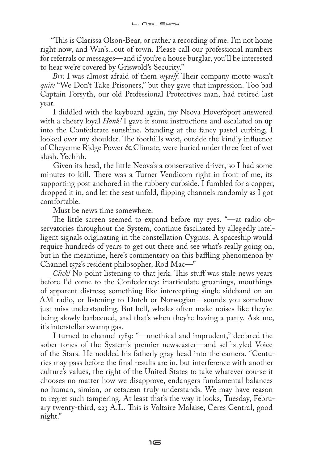"This is Clarissa Olson-Bear, or rather a recording of me. I'm not home right now, and Win's...out of town. Please call our professional numbers for referrals or messages—and if you're a house burglar, you'll be interested to hear we're covered by Griswold's Security."

*Brr*. I was almost afraid of them *myself*. Their company motto wasn't *quite* "We Don't Take Prisoners," but they gave that impression. Too bad Captain Forsyth, our old Professional Protectives man, had retired last year.

I diddled with the keyboard again, my Neova HoverSport answered with a cheery loyal *Honk!* I gave it some instructions and escalated on up into the Confederate sunshine. Standing at the fancy pastel curbing, I looked over my shoulder. The foothills west, outside the kindly influence of Cheyenne Ridge Power & Climate, were buried under three feet of wet slush. Yechhh.

Given its head, the little Neova's a conservative driver, so I had some minutes to kill. There was a Turner Vendicom right in front of me, its supporting post anchored in the rubbery curbside. I fumbled for a copper, dropped it in, and let the seat unfold, flipping channels randomly as I got comfortable.

Must be news time somewhere.

The little screen seemed to expand before my eyes. "—at radio observatories throughout the System, continue fascinated by allegedly intelligent signals originating in the constellation Cygnus. A spaceship would require hundreds of years to get out there and see what's really going on, but in the meantime, here's commentary on this baffling phenomenon by Channel 1572's resident philosopher, Rod Mac—"

*Click!* No point listening to that jerk. This stuff was stale news years before I'd come to the Confederacy: inarticulate groanings, mouthings of apparent distress; something like intercepting single sideband on an AM radio, or listening to Dutch or Norwegian—sounds you somehow just miss understanding. But hell, whales often make noises like they're being slowly barbecued, and that's when they're having a party. Ask me, it's interstellar swamp gas.

I turned to channel 1789: "—unethical and imprudent," declared the sober tones of the System's premier newscaster—and self-styled Voice of the Stars. He nodded his fatherly gray head into the camera. "Centuries may pass before the final results are in, but interference with another culture's values, the right of the United States to take whatever course it chooses no matter how we disapprove, endangers fundamental balances no human, simian, or cetacean truly understands. We may have reason to regret such tampering. At least that's the way it looks, Tuesday, February twenty-third, 223 A.L. This is Voltaire Malaise, Ceres Central, good night."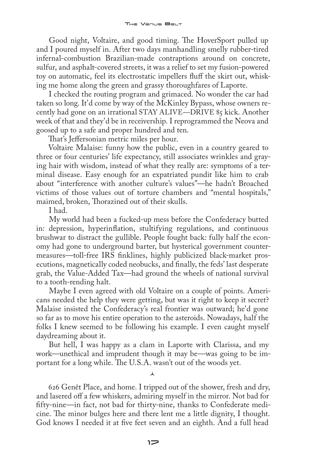Good night, Voltaire, and good timing. The HoverSport pulled up and I poured myself in. After two days manhandling smelly rubber-tired infernal-combustion Brazilian-made contraptions around on concrete, sulfur, and asphalt-covered streets, it was a relief to set my fusion-powered toy on automatic, feel its electrostatic impellers fluff the skirt out, whisking me home along the green and grassy thoroughfares of Laporte.

I checked the routing program and grimaced. No wonder the car had taken so long. It'd come by way of the McKinley Bypass, whose owners recently had gone on an irrational STAY ALIVE—DRIVE 85 kick. Another week of that and they'd be in receivership. I reprogrammed the Neova and goosed up to a safe and proper hundred and ten.

That's Jeffersonian metric miles per hour.

Voltaire Malaise: funny how the public, even in a country geared to three or four centuries' life expectancy, still associates wrinkles and graying hair with wisdom, instead of what they really are: symptoms of a terminal disease. Easy enough for an expatriated pundit like him to crab about "interference with another culture's values"—he hadn't Broached victims of those values out of torture chambers and "mental hospitals," maimed, broken, Thorazined out of their skulls.

I had.

My world had been a fucked-up mess before the Confederacy butted in: depression, hyperinflation, stultifying regulations, and continuous brushwar to distract the gullible. People fought back: fully half the economy had gone to underground barter, but hysterical government countermeasures—toll-free IRS finklines, highly publicized black-market prosecutions, magnetically coded neobucks, and finally, the feds' last desperate grab, the Value-Added Tax—had ground the wheels of national survival to a tooth-rending halt.

Maybe I even agreed with old Voltaire on a couple of points. Americans needed the help they were getting, but was it right to keep it secret? Malaise insisted the Confederacy's real frontier was outward; he'd gone so far as to move his entire operation to the asteroids. Nowadays, half the folks I knew seemed to be following his example. I even caught myself daydreaming about it.

But hell, I was happy as a clam in Laporte with Clarissa, and my work—unethical and imprudent though it may be—was going to be important for a long while. The U.S.A. wasn't out of the woods yet.

 $\lambda$ 

626 Genêt Place, and home. I tripped out of the shower, fresh and dry, and lasered off a few whiskers, admiring myself in the mirror. Not bad for fifty-nine—in fact, not bad for thirty-nine, thanks to Confederate medicine. The minor bulges here and there lent me a little dignity, I thought. God knows I needed it at five feet seven and an eighth. And a full head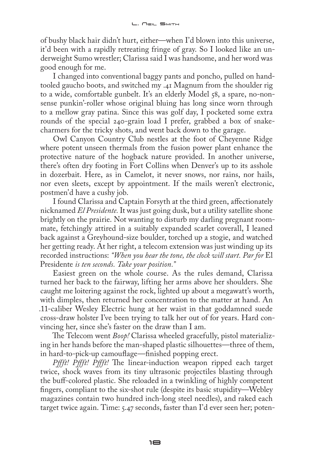of bushy black hair didn't hurt, either—when I'd blown into this universe, it'd been with a rapidly retreating fringe of gray. So I looked like an underweight Sumo wrestler; Clarissa said I was handsome, and her word was good enough for me.

I changed into conventional baggy pants and poncho, pulled on handtooled gaucho boots, and switched my .41 Magnum from the shoulder rig to a wide, comfortable gunbelt. It's an elderly Model 58, a spare, no-nonsense punkin'-roller whose original bluing has long since worn through to a mellow gray patina. Since this was golf day, I pocketed some extra rounds of the special 240-grain load I prefer, grabbed a box of snakecharmers for the tricky shots, and went back down to the garage.

Owl Canyon Country Club nestles at the foot of Cheyenne Ridge where potent unseen thermals from the fusion power plant enhance the protective nature of the hogback nature provided. In another universe, there's often dry footing in Fort Collins when Denver's up to its asshole in dozerbait. Here, as in Camelot, it never snows, nor rains, nor hails, nor even sleets, except by appointment. If the mails weren't electronic, postmen'd have a cushy job.

I found Clarissa and Captain Forsyth at the third green, affectionately nicknamed *El Presidente.* It was just going dusk, but a utility satellite shone brightly on the prairie. Not wanting to disturb my darling pregnant roommate, fetchingly attired in a suitably expanded scarlet coverall, I leaned back against a Greyhound-size boulder, torched up a stogie, and watched her getting ready. At her right, a telecom extension was just winding up its recorded instructions: *"When you hear the tone, the clock will start. Par for* El Presidente *is ten seconds. Take your position."*

Easiest green on the whole course. As the rules demand, Clarissa turned her back to the fairway, lifting her arms above her shoulders. She caught me loitering against the rock, lighted up about a megawatt's worth, with dimples, then returned her concentration to the matter at hand. An .11-caliber Wesley Electric hung at her waist in that goddamned suede cross-draw holster I've been trying to talk her out of for years. Hard convincing her, since she's faster on the draw than I am.

The Telecom went *Boop!* Clarissa wheeled gracefully, pistol materializing in her hands before the man-shaped plastic silhouettes—three of them, in hard-to-pick-up camouflage—finished popping erect.

*Pffft! Pffft! Pffft!* The linear-induction weapon ripped each target twice, shock waves from its tiny ultrasonic projectiles blasting through the buff-colored plastic. She reloaded in a twinkling of highly competent fingers, compliant to the six-shot rule (despite its basic stupidity—Webley magazines contain two hundred inch-long steel needles), and raked each target twice again. Time: 5.47 seconds, faster than I'd ever seen her; poten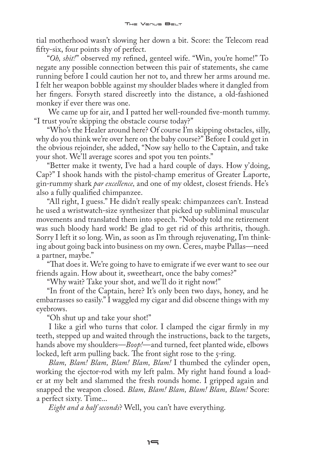tial motherhood wasn't slowing her down a bit. Score: the Telecom read fifty-six, four points shy of perfect.

"*Oh, shit!*" observed my refined, genteel wife. "Win, you're home!" To negate any possible connection between this pair of statements, she came running before I could caution her not to, and threw her arms around me. I felt her weapon bobble against my shoulder blades where it dangled from her fingers. Forsyth stared discreetly into the distance, a old-fashioned monkey if ever there was one.

We came up for air, and I patted her well-rounded five-month tummy. "I trust you're skipping the obstacle course today?"

"Who's the Healer around here? Of course I'm skipping obstacles, silly, why do you think we're over here on the baby course?" Before I could get in the obvious rejoinder, she added, "Now say hello to the Captain, and take your shot. We'll average scores and spot you ten points."

"Better make it twenty, I've had a hard couple of days. How y'doing, Cap?" I shook hands with the pistol-champ emeritus of Greater Laporte, gin-rummy shark *par excellence,* and one of my oldest, closest friends. He's also a fully qualified chimpanzee.

"All right, I guess." He didn't really speak: chimpanzees can't. Instead he used a wristwatch-size synthesizer that picked up subliminal muscular movements and translated them into speech. "Nobody told me retirement was such bloody hard work! Be glad to get rid of this arthritis, though. Sorry I left it so long. Win, as soon as I'm through rejuvenating, I'm thinking about going back into business on my own. Ceres, maybe Pallas—need a partner, maybe."

"That does it. We're going to have to emigrate if we ever want to see our friends again. How about it, sweetheart, once the baby comes?"

"Why wait? Take your shot, and we'll do it right now!"

"In front of the Captain, here? It's only been two days, honey, and he embarrasses so easily." I waggled my cigar and did obscene things with my eyebrows.

"Oh shut up and take your shot!"

I like a girl who turns that color. I clamped the cigar firmly in my teeth, stepped up and waited through the instructions, back to the targets, hands above my shoulders—*Boop!*—and turned, feet planted wide, elbows locked, left arm pulling back. The front sight rose to the 5-ring.

*Blam, Blam! Blam, Blam! Blam, Blam!* I thumbed the cylinder open, working the ejector-rod with my left palm. My right hand found a loader at my belt and slammed the fresh rounds home. I gripped again and snapped the weapon closed. *Blam, Blam! Blam, Blam! Blam, Blam!* Score: a perfect sixty. Time...

*Eight and a half seconds*? Well, you can't have everything.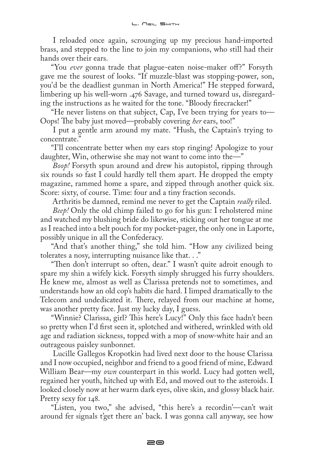I reloaded once again, scrounging up my precious hand-imported brass, and stepped to the line to join my companions, who still had their hands over their ears.

"You *ever* gonna trade that plague-eaten noise-maker off?" Forsyth gave me the sourest of looks. "If muzzle-blast was stopping-power, son, you'd be the deadliest gunman in North America!" He stepped forward, limbering up his well-worn .476 Savage, and turned toward us, disregarding the instructions as he waited for the tone. "Bloody firecracker!"

"He never listens on that subject, Cap, I've been trying for years to— Oops! The baby just moved—probably covering *her* ears, too!"

I put a gentle arm around my mate. "Hush, the Captain's trying to concentrate."

"I'll concentrate better when my ears stop ringing! Apologize to your daughter, Win, otherwise she may not want to come into the—"

*Boop!* Forsyth spun around and drew his autopistol, ripping through six rounds so fast I could hardly tell them apart. He dropped the empty magazine, rammed home a spare, and zipped through another quick six. Score: sixty, of course. Time: four and a tiny fraction seconds.

Arthritis be damned, remind me never to get the Captain *really* riled.

*Beep!* Only the old chimp failed to go for his gun: I reholstered mine and watched my blushing bride do likewise, sticking out her tongue at me as I reached into a belt pouch for my pocket-pager, the only one in Laporte, possibly unique in all the Confederacy.

"And that's another thing," she told him. "How any civilized being tolerates a nosy, interrupting nuisance like that. . ."

"Then don't interrupt so often, dear." I wasn't quite adroit enough to spare my shin a wifely kick. Forsyth simply shrugged his furry shoulders. He knew me, almost as well as Clarissa pretends not to sometimes, and understands how an old cop's habits die hard. I limped dramatically to the Telecom and undedicated it. There, relayed from our machine at home, was another pretty face. Just my lucky day, I guess.

"Winnie? Clarissa, girl? This here's Lucy!" Only this face hadn't been so pretty when I'd first seen it, splotched and withered, wrinkled with old age and radiation sickness, topped with a mop of snow-white hair and an outrageous paisley sunbonnet.

Lucille Gallegos Kropotkin had lived next door to the house Clarissa and I now occupied, neighbor and friend to a good friend of mine, Edward William Bear—my *own* counterpart in this world. Lucy had gotten well, regained her youth, hitched up with Ed, and moved out to the asteroids. I looked closely now at her warm dark eyes, olive skin, and glossy black hair. Pretty sexy for 148.

"Listen, you two," she advised, "this here's a recordin'—can't wait around fer signals t'get there an' back. I was gonna call anyway, see how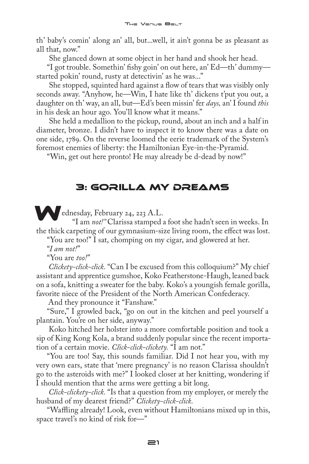th' baby's comin' along an' all, but...well, it ain't gonna be as pleasant as all that, now."

She glanced down at some object in her hand and shook her head.

"I got trouble. Somethin' fishy goin' on out here, an' Ed—th' dummy started pokin' round, rusty at detectivin' as he was..."

She stopped, squinted hard against a flow of tears that was visibly only seconds away. "Anyhow, he—Win, I hate like th' dickens t'put you out, a daughter on th' way, an all, but—Ed's been missin' fer *days,* an' I found *this*  in his desk an hour ago. You'll know what it means."

She held a medallion to the pickup, round, about an inch and a half in diameter, bronze. I didn't have to inspect it to know there was a date on one side, 1789. On the reverse loomed the eerie trademark of the System's foremost enemies of liberty: the Hamiltonian Eye-in-the-Pyramid.

"Win, get out here pronto! He may already be d-dead by now!"

# 3: Gorilla My Dreams

ednesday, February 24, 223 A.L.

"I am *not!"* Clarissa stamped a foot she hadn't seen in weeks. In the thick carpeting of our gymnasium-size living room, the effect was lost.

"You are too!" I sat, chomping on my cigar, and glowered at her.

"*I am not!*"

"You are *too!*"

*Clickety-click-click.* "Can I be excused from this colloquium?" My chief assistant and apprentice gumshoe, Koko Featherstone-Haugh, leaned back on a sofa, knitting a sweater for the baby. Koko's a youngish female gorilla, favorite niece of the President of the North American Confederacy.

And they pronounce it "Fanshaw."

"Sure," I growled back, "go on out in the kitchen and peel yourself a plantain. You're on her side, anyway."

Koko hitched her holster into a more comfortable position and took a sip of King Kong Kola, a brand suddenly popular since the recent importation of a certain movie. *Click-click-clickety.* "I am not."

"You are too! Say, this sounds familiar. Did I not hear you, with my very own ears, state that 'mere pregnancy' is no reason Clarissa shouldn't go to the asteroids with me?" I looked closer at her knitting, wondering if I should mention that the arms were getting a bit long.

*Click-clickety-click.* "Is that a question from my employer, or merely the husband of my dearest friend?" *Clickety-click-click.*

"Waffling already! Look, even without Hamiltonians mixed up in this, space travel's no kind of risk for—"

21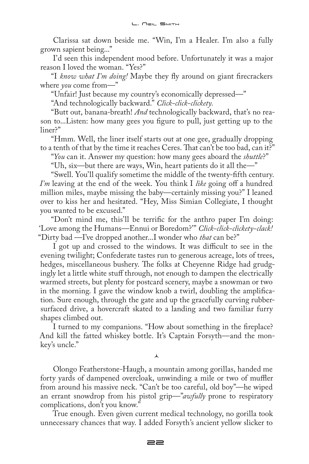Clarissa sat down beside me. "Win, I'm a Healer. I'm also a fully grown sapient being..."

I'd seen this independent mood before. Unfortunately it was a major reason I loved the woman. "Yes?"

"I *know what I'm doing!* Maybe they fly around on giant firecrackers where *you* come from—"

"Unfair! Just because my country's economically depressed—"

"And technologically backward." *Click-click-clickety.*

"Butt out, banana-breath! *And* technologically backward, that's no reason to...Listen: how many gees you figure to pull, just getting up to the liner?"

"Hmm. Well, the liner itself starts out at one gee, gradually dropping to a tenth of that by the time it reaches Ceres. That can't be too bad, can it?"

"*You* can it. Answer my question: how many gees aboard the *shuttle*?"

"Uh, six—but there are ways, Win, heart patients do it all the—"

"Swell. You'll qualify sometime the middle of the twenty-fifth century. *I'm* leaving at the end of the week. You think I *like* going off a hundred million miles, maybe missing the baby—certainly missing you?" I leaned over to kiss her and hesitated. "Hey, Miss Simian Collegiate, I thought you wanted to be excused."

"Don't mind me, this'll be terrific for the anthro paper I'm doing: 'Love among the Humans—Ennui or Boredom?'" *Click-click-clickety-clack!*  "Dirty bad —I've dropped another...I wonder who *that* can be?"

I got up and crossed to the windows. It was difficult to see in the evening twilight; Confederate tastes run to generous acreage, lots of trees, hedges, miscellaneous bushery. The folks at Cheyenne Ridge had grudgingly let a little white stuff through, not enough to dampen the electrically warmed streets, but plenty for postcard scenery, maybe a snowman or two in the morning. I gave the window knob a twirl, doubling the amplification. Sure enough, through the gate and up the gracefully curving rubbersurfaced drive, a hovercraft skated to a landing and two familiar furry shapes climbed out.

I turned to my companions. "How about something in the fireplace? And kill the fatted whiskey bottle. It's Captain Forsyth—and the monkey's uncle."

 $\lambda$ 

Olongo Featherstone-Haugh, a mountain among gorillas, handed me forty yards of dampened overcloak, unwinding a mile or two of muffler from around his massive neck. "Can't be too careful, old boy"—he wiped an errant snowdrop from his pistol grip—"*awfully* prone to respiratory complications, don't you know."

True enough. Even given current medical technology, no gorilla took unnecessary chances that way. I added Forsyth's ancient yellow slicker to

**22**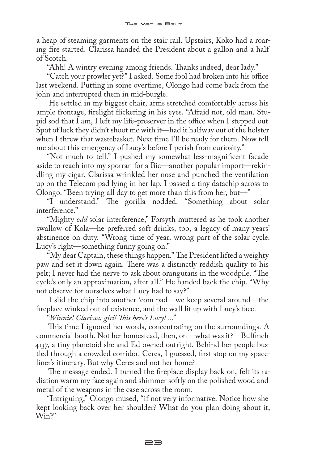a heap of steaming garments on the stair rail. Upstairs, Koko had a roaring fire started. Clarissa handed the President about a gallon and a half of Scotch.

"Ahh! A wintry evening among friends. Thanks indeed, dear lady."

"Catch your prowler yet?" I asked. Some fool had broken into his office last weekend. Putting in some overtime, Olongo had come back from the john and interrupted them in mid-burgle.

He settled in my biggest chair, arms stretched comfortably across his ample frontage, firelight flickering in his eyes. "Afraid not, old man. Stupid sod that I am, I left my life-preserver in the office when I stepped out. Spot of luck they didn't shoot me with it—had it halfway out of the holster when I threw that wastebasket. Next time I'll be ready for them. Now tell me about this emergency of Lucy's before I perish from curiosity."

"Not much to tell." I pushed my somewhat less-magnificent facade aside to reach into my sporran for a Bic—another popular import—rekindling my cigar. Clarissa wrinkled her nose and punched the ventilation up on the Telecom pad lying in her lap. I passed a tiny datachip across to Olongo. "Been trying all day to get more than this from her, but—"

"I understand." The gorilla nodded. "Something about solar interference."

"Mighty *odd* solar interference," Forsyth muttered as he took another swallow of Kola—he preferred soft drinks, too, a legacy of many years' abstinence on duty. "Wrong time of year, wrong part of the solar cycle. Lucy's right—something funny going on."

"My dear Captain, these things happen." The President lifted a weighty paw and set it down again. There was a distinctly reddish quality to his pelt; I never had the nerve to ask about orangutans in the woodpile. "The cycle's only an approximation, after all." He handed back the chip. "Why not observe for ourselves what Lucy had to say?"

I slid the chip into another 'com pad—we keep several around—the fireplace winked out of existence, and the wall lit up with Lucy's face.

"*Winnie! Clarissa, girl! This here's Lucy!* ..."

This time I ignored her words, concentrating on the surroundings. A commercial booth. Not her homestead, then, on—what was it?—Bulfinch 4137, a tiny planetoid she and Ed owned outright. Behind her people bustled through a crowded corridor. Ceres, I guessed, first stop on my spaceliner's itinerary. But why Ceres and not her home?

The message ended. I turned the fireplace display back on, felt its radiation warm my face again and shimmer softly on the polished wood and metal of the weapons in the case across the room.

"Intriguing," Olongo mused, "if not very informative. Notice how she kept looking back over her shoulder? What do you plan doing about it, Win?"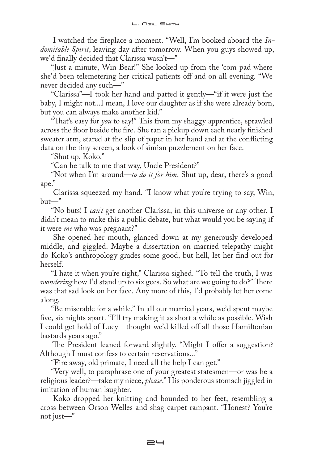I watched the fireplace a moment. "Well, I'm booked aboard the *Indomitable Spirit*, leaving day after tomorrow. When you guys showed up, we'd finally decided that Clarissa wasn't—"

"Just a minute, Win Bear!" She looked up from the 'com pad where she'd been telemetering her critical patients off and on all evening. "We never decided any such—"

"Clarissa"—I took her hand and patted it gently—"if it were just the baby, I might not...I mean, I love our daughter as if she were already born, but you can always make another kid."

"That's easy for *you* to say!" This from my shaggy apprentice, sprawled across the floor beside the fire. She ran a pickup down each nearly finished sweater arm, stared at the slip of paper in her hand and at the conflicting data on the tiny screen, a look of simian puzzlement on her face.

"Shut up, Koko."

"Can he talk to me that way, Uncle President?"

"Not when I'm around—*to do it for him*. Shut up, dear, there's a good ape."

Clarissa squeezed my hand. "I know what you're trying to say, Win, but—"

"No buts! I *can't* get another Clarissa, in this universe or any other. I didn't mean to make this a public debate, but what would you be saying if it were *me* who was pregnant?"

She opened her mouth, glanced down at my generously developed middle, and giggled. Maybe a dissertation on married telepathy might do Koko's anthropology grades some good, but hell, let her find out for herself.

"I hate it when you're right," Clarissa sighed. "To tell the truth, I was *wondering* how I'd stand up to six gees. So what are we going to do?" There was that sad look on her face. Any more of this, I'd probably let her come along.

"Be miserable for a while." In all our married years, we'd spent maybe five, six nights apart. "I'll try making it as short a while as possible. Wish I could get hold of Lucy—thought we'd killed off all those Hamiltonian bastards years ago."

The President leaned forward slightly. "Might I offer a suggestion? Although I must confess to certain reservations..."

"Fire away, old primate, I need all the help I can get."

"Very well, to paraphrase one of your greatest statesmen—or was he a religious leader?—take my niece, *please*." His ponderous stomach jiggled in imitation of human laughter.

Koko dropped her knitting and bounded to her feet, resembling a cross between Orson Welles and shag carpet rampant. "Honest? You're not just—"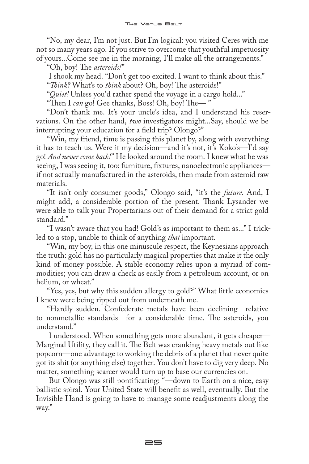"No, my dear, I'm not just. But I'm logical: you visited Ceres with me not so many years ago. If you strive to overcome that youthful impetuosity of yours...Come see me in the morning, I'll make all the arrangements."

"Oh, boy! The *asteroids!*"

I shook my head. "Don't get too excited. I want to think about this." "*Think?* What's to *think* about? Oh, boy! The asteroids!"

"*Quiet!* Unless you'd rather spend the voyage in a cargo hold..."

"Then I *can* go! Gee thanks, Boss! Oh, boy! The— "

"Don't thank me. It's your uncle's idea, and I understand his reservations. On the other hand, *two* investigators might...Say, should we be interrupting your education for a field trip? Olongo?"

"Win, my friend, time is passing this planet by, along with everything it has to teach us. Were it my decision—and it's not, it's Koko's—I'd say go! *And never come back!*" He looked around the room. I knew what he was seeing, I was seeing it, too: furniture, fixtures, nanoelectronic appliances if not actually manufactured in the asteroids, then made from asteroid raw materials.

"It isn't only consumer goods," Olongo said, "it's the *future*. And, I might add, a considerable portion of the present. Thank Lysander we were able to talk your Propertarians out of their demand for a strict gold standard."

"I wasn't aware that you had! Gold's as important to them as..." I trickled to a stop, unable to think of anything *that* important.

"Win, my boy, in this one minuscule respect, the Keynesians approach the truth: gold has no particularly magical properties that make it the only kind of money possible. A stable economy relies upon a myriad of commodities; you can draw a check as easily from a petroleum account, or on helium, or wheat."

"Yes, yes, but why this sudden allergy to gold?" What little economics I knew were being ripped out from underneath me.

"Hardly sudden. Confederate metals have been declining—relative to nonmetallic standards—for a considerable time. The asteroids, you understand."

I understood. When something gets more abundant, it gets cheaper— Marginal Utility, they call it. The Belt was cranking heavy metals out like popcorn—one advantage to working the debris of a planet that never quite got its shit (or anything else) together. You don't have to dig very deep. No matter, something scarcer would turn up to base our currencies on.

But Olongo was still pontificating: "—down to Earth on a nice, easy ballistic spiral. Your United State will benefit as well, eventually. But the Invisible Hand is going to have to manage some readjustments along the way."

25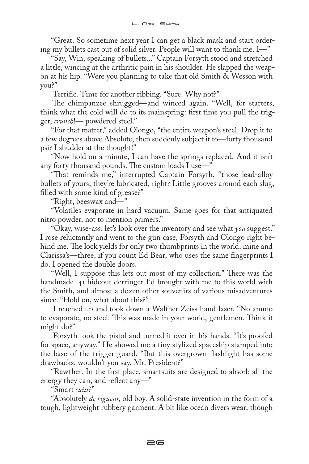"Great. So sometime next year I can get a black mask and start ordering my bullets cast out of solid silver. People will want to thank me. I—"

"Say, Win, speaking of bullets..." Captain Forsyth stood and stretched a little, wincing at the arthritic pain in his shoulder. He slapped the weapon at his hip. "Were you planning to take that old Smith & Wesson with you?"

Terrific. Time for another ribbing. "Sure. Why not?"

The chimpanzee shrugged—and winced again. "Well, for starters, think what the cold will do to its mainspring: first time you pull the trigger, *crunch*!— powdered steel."

"For that matter," added Olongo, "the entire weapon's steel. Drop it to a few degrees above Absolute, then suddenly subject it to—forty thousand psi? I shudder at the thought!"

"Now hold on a minute, I can have the springs replaced. And it isn't any forty thousand pounds. The custom loads I use—"

"That reminds me," interrupted Captain Forsyth, "those lead-alloy bullets of yours, they're lubricated, right? Little grooves around each slug, filled with some kind of grease?"

"Right, beeswax and—"

"Volatiles evaporate in hard vacuum. Same goes for that antiquated nitro powder, not to mention primers."

"Okay, wise-ass, let's look over the inventory and see what *you* suggest." I rose reluctantly and went to the gun case, Forsyth and Olongo right behind me. The lock yields for only two thumbprints in the world, mine and Clarissa's—three, if you count Ed Bear, who uses the same fingerprints I do. I opened the double doors.

"Well, I suppose this lets out most of my collection." There was the handmade .41 hideout derringer I'd brought with me to this world with the Smith, and almost a dozen other souvenirs of various misadventures since. "Hold on, what about this?"

I reached up and took down a Walther-Zeiss hand-laser. "No ammo to evaporate, no steel. This was made in your world, gentlemen. Think it might do?"

Forsyth took the pistol and turned it over in his hands. "It's proofed for space, anyway." He showed me a tiny stylized spaceship stamped into the base of the trigger guard. "But this overgrown flashlight has some drawbacks, wouldn't you say, Mr. President?"

"Rawther. In the first place, smartsuits are designed to absorb all the energy they can, and reflect any—"

"Smart *suits*?"

"Absolutely *de rigueur,* old boy. A solid-state invention in the form of a tough, lightweight rubbery garment. A bit like ocean divers wear, though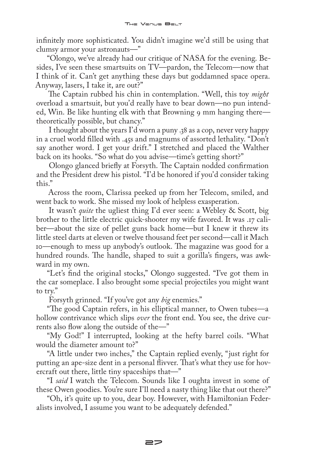infinitely more sophisticated. You didn't imagine we'd still be using that clumsy armor your astronauts—"

"Olongo, we've already had our critique of NASA for the evening. Besides, I've seen these smartsuits on TV—pardon, the Telecom—now that I think of it. Can't get anything these days but goddamned space opera. Anyway, lasers, I take it, are out?"

The Captain rubbed his chin in contemplation. "Well, this toy *might*  overload a smartsuit, but you'd really have to bear down—no pun intended, Win. Be like hunting elk with that Browning 9 mm hanging theretheoretically possible, but chancy."

I thought about the years I'd worn a puny .38 as a cop, never very happy in a cruel world filled with .45s and magnums of assorted lethality. "Don't say another word. I get your drift." I stretched and placed the Walther back on its hooks. "So what do you advise—time's getting short?"

Olongo glanced briefly at Forsyth. The Captain nodded confirmation and the President drew his pistol. "I'd be honored if you'd consider taking this."

Across the room, Clarissa peeked up from her Telecom, smiled, and went back to work. She missed my look of helpless exasperation.

It wasn't *quite* the ugliest thing I'd ever seen: a Webley & Scott, big brother to the little electric quick-shooter my wife favored. It was .17 caliber—about the size of pellet guns back home—but I knew it threw its little steel darts at eleven or twelve thousand feet per second—call it Mach 10—enough to mess up anybody's outlook. The magazine was good for a hundred rounds. The handle, shaped to suit a gorilla's fingers, was awkward in my own.

"Let's find the original stocks," Olongo suggested. "I've got them in the car someplace. I also brought some special projectiles you might want to try."

Forsyth grinned. "If you've got any *big* enemies."

"The good Captain refers, in his elliptical manner, to Owen tubes—a hollow contrivance which slips *over* the front end. You see, the drive currents also flow along the outside of the—"

"My God!" I interrupted, looking at the hefty barrel coils. "What would the diameter amount to?"

"A little under two inches," the Captain replied evenly, "just right for putting an ape-size dent in a personal flivver. That's what they use for hovercraft out there, little tiny spaceships that—"

"I *said* I watch the Telecom. Sounds like I oughta invest in some of these Owen goodies. You're sure I'll need a nasty thing like that out there?"

"Oh, it's quite up to you, dear boy. However, with Hamiltonian Federalists involved, I assume you want to be adequately defended."

22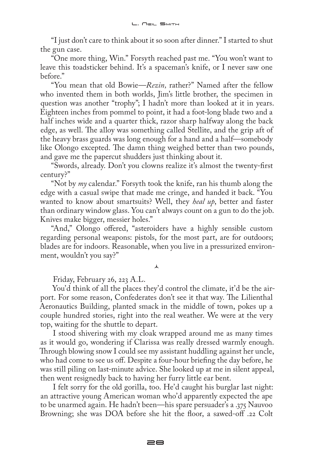"I just don't care to think about it so soon after dinner." I started to shut the gun case.

"One more thing, Win." Forsyth reached past me. "You won't want to leave this toadsticker behind. It's a spaceman's knife, or I never saw one before."

"You mean that old Bowie—*Rezin,* rather?" Named after the fellow who invented them in both worlds, Jim's little brother, the specimen in question was another "trophy"; I hadn't more than looked at it in years. Eighteen inches from pommel to point, it had a foot-long blade two and a half inches wide and a quarter thick, razor sharp halfway along the back edge, as well. The alloy was something called Stellite, and the grip aft of the heavy brass guards was long enough for a hand and a half—somebody like Olongo excepted. The damn thing weighed better than two pounds, and gave me the papercut shudders just thinking about it.

"Swords, already. Don't you clowns realize it's almost the twenty-first century?"

"Not by *my* calendar." Forsyth took the knife, ran his thumb along the edge with a casual swipe that made me cringe, and handed it back. "You wanted to know about smartsuits? Well, they *heal up*, better and faster than ordinary window glass. You can't always count on a gun to do the job. Knives make bigger, messier holes."

"And," Olongo offered, "asteroiders have a highly sensible custom regarding personal weapons: pistols, for the most part, are for outdoors; blades are for indoors. Reasonable, when you live in a pressurized environment, wouldn't you say?"

⋏

Friday, February 26, 223 A.L.

You'd think of all the places they'd control the climate, it'd be the airport. For some reason, Confederates don't see it that way. The Lilienthal Aeronautics Building, planted smack in the middle of town, pokes up a couple hundred stories, right into the real weather. We were at the very top, waiting for the shuttle to depart.

I stood shivering with my cloak wrapped around me as many times as it would go, wondering if Clarissa was really dressed warmly enough. Through blowing snow I could see my assistant huddling against her uncle, who had come to see us off. Despite a four-hour briefing the day before, he was still piling on last-minute advice. She looked up at me in silent appeal, then went resignedly back to having her furry little ear bent.

I felt sorry for the old gorilla, too. He'd caught his burglar last night: an attractive young American woman who'd apparently expected the ape to be unarmed again. He hadn't been—his spare persuader's a .375 Nauvoo Browning; she was DOA before she hit the floor, a sawed-off .22 Colt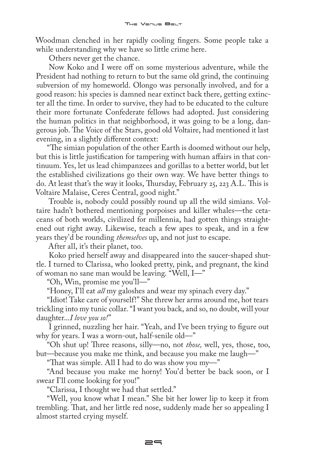Woodman clenched in her rapidly cooling fingers. Some people take a while understanding why we have so little crime here.

Others never get the chance.

Now Koko and I were off on some mysterious adventure, while the President had nothing to return to but the same old grind, the continuing subversion of my homeworld. Olongo was personally involved, and for a good reason: his species is damned near extinct back there, getting extincter all the time. In order to survive, they had to be educated to the culture their more fortunate Confederate fellows had adopted. Just considering the human politics in that neighborhood, it was going to be a long, dangerous job. The Voice of the Stars, good old Voltaire, had mentioned it last evening, in a slightly different context:

"The simian population of the other Earth is doomed without our help, but this is little justification for tampering with human affairs in that continuum. Yes, let us lead chimpanzees and gorillas to a better world, but let the established civilizations go their own way. We have better things to do. At least that's the way it looks, Thursday, February 25, 223 A.L. This is Voltaire Malaise, Ceres Central, good night."

Trouble is, nobody could possibly round up all the wild simians. Voltaire hadn't bothered mentioning porpoises and killer whales—the cetaceans of both worlds, civilized for millennia, had gotten things straightened out right away. Likewise, teach a few apes to speak, and in a few years they'd be rounding *themselves* up, and not just to escape.

After all, it's their planet, too.

Koko pried herself away and disappeared into the saucer-shaped shuttle. I turned to Clarissa, who looked pretty, pink, and pregnant, the kind of woman no sane man would be leaving. "Well, I—"

"Oh, Win, promise me you'll—"

"Honey, I'll eat *all* my galoshes and wear my spinach every day."

"Idiot! Take care of yourself!" She threw her arms around me, hot tears trickling into my tunic collar. "I want you back, and so, no doubt, will your daughter...*I love you so!*"

I grinned, nuzzling her hair. "Yeah, and I've been trying to figure out why for years. I was a worn-out, half-senile old—"

"Oh shut up! Three reasons, silly—no, not *those,* well, yes, those, too, but—because you make me think, and because you make me laugh—"

"That was simple. All I had to do was show you my—"

"And because you make me horny! You'd better be back soon, or I swear I'll come looking for you!"

"Clarissa, I thought we had that settled."

"Well, you know what I mean." She bit her lower lip to keep it from trembling. That, and her little red nose, suddenly made her so appealing I almost started crying myself.

 $=$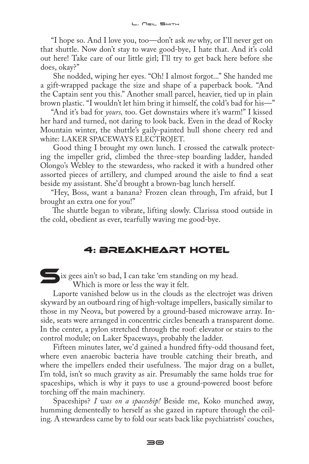"I hope so. And I love you, too—don't ask *me* why, or I'll never get on that shuttle. Now don't stay to wave good-bye, I hate that. And it's cold out here! Take care of our little girl; I'll try to get back here before she does, okay?"

She nodded, wiping her eyes. "Oh! I almost forgot..." She handed me a gift-wrapped package the size and shape of a paperback book. "And the Captain sent you this." Another small parcel, heavier, tied up in plain brown plastic. "I wouldn't let him bring it himself, the cold's bad for his—"

"And it's bad for *yours,* too. Get downstairs where it's warm!" I kissed her hard and turned, not daring to look back. Even in the dead of Rocky Mountain winter, the shuttle's gaily-painted hull shone cheery red and white: LAKER SPACEWAYS ELECTROJET.

Good thing I brought my own lunch. I crossed the catwalk protecting the impeller grid, climbed the three-step boarding ladder, handed Olongo's Webley to the stewardess, who racked it with a hundred other assorted pieces of artillery, and clumped around the aisle to find a seat beside my assistant. She'd brought a brown-bag lunch herself.

"Hey, Boss, want a banana? Frozen clean through, I'm afraid, but I brought an extra one for you!"

The shuttle began to vibrate, lifting slowly. Clarissa stood outside in the cold, obedient as ever, tearfully waving me good-bye.

## 4: Breakheart Hotel

ix gees ain't so bad, I can take 'em standing on my head. Which is more or less the way it felt.

Laporte vanished below us in the clouds as the electrojet was driven skyward by an outboard ring of high-voltage impellers, basically similar to those in my Neova, but powered by a ground-based microwave array. Inside, seats were arranged in concentric circles beneath a transparent dome. In the center, a pylon stretched through the roof: elevator or stairs to the control module; on Laker Spaceways, probably the ladder.

Fifteen minutes later, we'd gained a hundred fifty-odd thousand feet, where even anaerobic bacteria have trouble catching their breath, and where the impellers ended their usefulness. The major drag on a bullet, I'm told, isn't so much gravity as air. Presumably the same holds true for spaceships, which is why it pays to use a ground-powered boost before torching off the main machinery.

Spaceships? *I was on a spaceship!* Beside me, Koko munched away, humming dementedly to herself as she gazed in rapture through the ceiling. A stewardess came by to fold our seats back like psychiatrists' couches,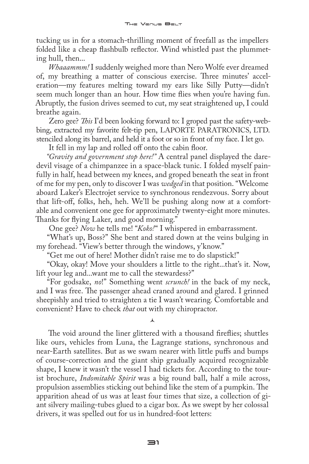tucking us in for a stomach-thrilling moment of freefall as the impellers folded like a cheap flashbulb reflector. Wind whistled past the plummeting hull, then...

*Whaaammm!* I suddenly weighed more than Nero Wolfe ever dreamed of, my breathing a matter of conscious exercise. Three minutes' acceleration—my features melting toward my ears like Silly Putty—didn't seem much longer than an hour. How time flies when you're having fun. Abruptly, the fusion drives seemed to cut, my seat straightened up, I could breathe again.

Zero gee? *This* I'd been looking forward to: I groped past the safety-webbing, extracted my favorite felt-tip pen, LAPORTE PARATRONICS, LTD. stenciled along its barrel, and held it a foot or so in front of my face. I let go.

It fell in my lap and rolled off onto the cabin floor.

*"Gravity and government stop here!"* A central panel displayed the daredevil visage of a chimpanzee in a space-black tunic. I folded myself painfully in half, head between my knees, and groped beneath the seat in front of me for my pen, only to discover I was *wedged* in that position. "Welcome aboard Laker's Electrojet service to synchronous rendezvous. Sorry about that lift-off, folks, heh, heh. We'll be pushing along now at a comfortable and convenient one gee for approximately twenty-eight more minutes. Thanks for flying Laker, and good morning."

One gee? *Now* he tells me! "*Koko!*" I whispered in embarrassment.

"What's up, Boss?" She bent and stared down at the veins bulging in my forehead. "View's better through the windows, y'know."

"Get me out of here! Mother didn't raise me to do slapstick!"

"Okay, okay! Move your shoulders a little to the right...that's it. Now, lift your leg and...want me to call the stewardess?"

"For godsake, *no*!" Something went *scrunch!* in the back of my neck, and I was free. The passenger ahead craned around and glared. I grinned sheepishly and tried to straighten a tie I wasn't wearing. Comfortable and convenient? Have to check *that* out with my chiropractor.

 $\lambda$ 

The void around the liner glittered with a thousand fireflies; shuttles like ours, vehicles from Luna, the Lagrange stations, synchronous and near-Earth satellites. But as we swam nearer with little puffs and bumps of course-correction and the giant ship gradually acquired recognizable shape, I knew it wasn't the vessel I had tickets for. According to the tourist brochure, *Indomitable Spirit* was a big round ball, half a mile across, propulsion assemblies sticking out behind like the stem of a pumpkin. The apparition ahead of us was at least four times that size, a collection of giant silvery mailing-tubes glued to a cigar box. As we swept by her colossal drivers, it was spelled out for us in hundred-foot letters: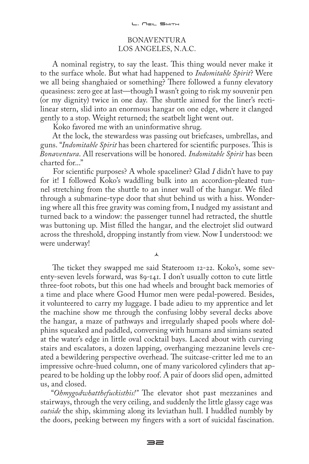#### BONAVENTURA LOS ANGELES, N.A.C.

A nominal registry, to say the least. This thing would never make it to the surface whole. But what had happened to *Indomitable Spirit*? Were we all being shanghaied or something? There followed a funny elevatory queasiness: zero gee at last—though I wasn't going to risk my souvenir pen (or my dignity) twice in one day. The shuttle aimed for the liner's rectilinear stern, slid into an enormous hangar on one edge, where it clanged gently to a stop. Weight returned; the seatbelt light went out.

Koko favored me with an uninformative shrug.

At the lock, the stewardess was passing out briefcases, umbrellas, and guns. "*Indomitable Spirit* has been chartered for scientific purposes. This is *Bonaventura*. All reservations will be honored. *Indomitable Spirit* has been charted for..."

For scientific purposes? A whole spaceliner? Glad *I* didn't have to pay for it! I followed Koko's waddling bulk into an accordion-pleated tunnel stretching from the shuttle to an inner wall of the hangar. We filed through a submarine-type door that shut behind us with a hiss. Wondering where all this free gravity was coming from, I nudged my assistant and turned back to a window: the passenger tunnel had retracted, the shuttle was buttoning up. Mist filled the hangar, and the electrojet slid outward across the threshold, dropping instantly from view. Now I understood: we were underway!

 $\lambda$ 

The ticket they swapped me said Stateroom 12-22. Koko's, some seventy-seven levels forward, was 89-141. I don't usually cotton to cute little three-foot robots, but this one had wheels and brought back memories of a time and place where Good Humor men were pedal-powered. Besides, it volunteered to carry my luggage. I bade adieu to my apprentice and let the machine show me through the confusing lobby several decks above the hangar, a maze of pathways and irregularly shaped pools where dolphins squeaked and paddled, conversing with humans and simians seated at the water's edge in little oval cocktail bays. Laced about with curving stairs and escalators, a dozen lapping, overhanging mezzanine levels created a bewildering perspective overhead. The suitcase-critter led me to an impressive ochre-hued column, one of many varicolored cylinders that appeared to be holding up the lobby roof. A pair of doors slid open, admitted us, and closed.

"*Ohmygodwhatthefuckisthis!"* The elevator shot past mezzanines and stairways, through the very ceiling, and suddenly the little glassy cage was *outside* the ship, skimming along its leviathan hull. I huddled numbly by the doors, peeking between my fingers with a sort of suicidal fascination.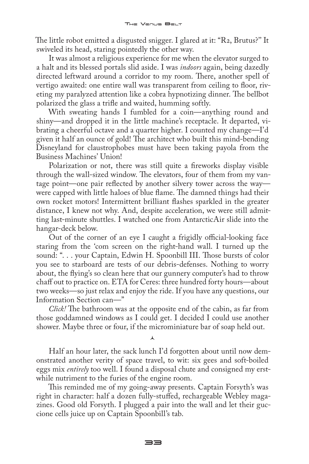The little robot emitted a disgusted snigger. I glared at it: "R2, Brutus?'' It swiveled its head, staring pointedly the other way.

It was almost a religious experience for me when the elevator surged to a halt and its blessed portals slid aside. I was *indoors* again, being dazedly directed leftward around a corridor to my room. There, another spell of vertigo awaited: one entire wall was transparent from ceiling to floor, riveting my paralyzed attention like a cobra hypnotizing dinner. The bellbot polarized the glass a trifle and waited, humming softly.

With sweating hands I fumbled for a coin—anything round and shiny—and dropped it in the little machine's receptacle. It departed, vibrating a cheerful octave and a quarter higher. I counted my change—I'd given it half an ounce of gold! The architect who built this mind-bending Disneyland for claustrophobes must have been taking payola from the Business Machines' Union!

Polarization or not, there was still quite a fireworks display visible through the wall-sized window. The elevators, four of them from my vantage point—one pair reflected by another silvery tower across the way were capped with little haloes of blue flame. The damned things had their own rocket motors! Intermittent brilliant flashes sparkled in the greater distance, I knew not why. And, despite acceleration, we were still admitting last-minute shuttles. I watched one from AntarcticAir slide into the hangar-deck below.

Out of the corner of an eye I caught a frigidly official-looking face staring from the 'com screen on the right-hand wall. I turned up the sound: ". . . your Captain, Edwin H. Spoonbill III. Those bursts of color you see to starboard are tests of our debris-defenses. Nothing to worry about, the flying's so clean here that our gunnery computer's had to throw chaff out to practice on. ETA for Ceres: three hundred forty hours—about two weeks—so just relax and enjoy the ride. If you have any questions, our Information Section can—"

*Click!* The bathroom was at the opposite end of the cabin, as far from those goddamned windows as I could get. I decided I could use another shower. Maybe three or four, if the microminiature bar of soap held out.

 $\lambda$ 

Half an hour later, the sack lunch I'd forgotten about until now demonstrated another verity of space travel, to wit: six gees and soft-boiled eggs mix *entirely* too well. I found a disposal chute and consigned my erstwhile nutriment to the furies of the engine room.

This reminded me of my going-away presents. Captain Forsyth's was right in character: half a dozen fully-stuffed, rechargeable Webley magazines. Good old Forsyth. I plugged a pair into the wall and let their guccione cells juice up on Captain Spoonbill's tab.

 $\equiv$  $\equiv$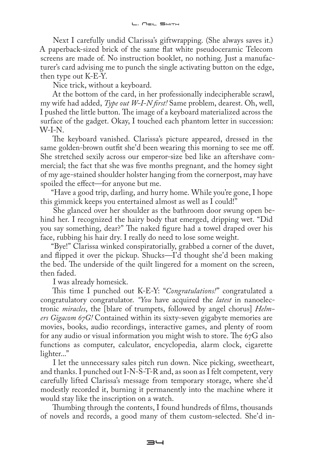Next I carefully undid Clarissa's giftwrapping. (She always saves it.) A paperback-sized brick of the same flat white pseudoceramic Telecom screens are made of. No instruction booklet, no nothing. Just a manufacturer's card advising me to punch the single activating button on the edge, then type out K-E-Y.

Nice trick, without a keyboard.

At the bottom of the card, in her professionally indecipherable scrawl, my wife had added, *Type out W-I-N first!* Same problem, dearest. Oh, well, I pushed the little button. The image of a keyboard materialized across the surface of the gadget. Okay, I touched each phantom letter in succession: W-I-N.

The keyboard vanished. Clarissa's picture appeared, dressed in the same golden-brown outfit she'd been wearing this morning to see me off. She stretched sexily across our emperor-size bed like an aftershave commercial; the fact that she was five months pregnant, and the homey sight of my age-stained shoulder holster hanging from the cornerpost, may have spoiled the effect—for anyone but me.

"Have a good trip, darling, and hurry home. While you're gone, I hope this gimmick keeps you entertained almost as well as I could!"

She glanced over her shoulder as the bathroom door swung open behind her. I recognized the hairy body that emerged, dripping wet. "Did you say something, dear?" The naked figure had a towel draped over his face, rubbing his hair dry. I really do need to lose some weight.

"Bye!" Clarissa winked conspiratorially, grabbed a corner of the duvet, and flipped it over the pickup. Shucks—I'd thought she'd been making the bed. The underside of the quilt lingered for a moment on the screen, then faded.

I was already homesick.

This time I punched out K-E-Y: "*Congratulations!*" congratulated a congratulatory congratulator. *"You* have acquired the *latest* in nanoelectronic *miracles*, the [blare of trumpets, followed by angel chorus] *Helmers Gigacom 67G!* Contained within its sixty-seven gigabyte memories are movies, books, audio recordings, interactive games, and plenty of room for any audio or visual information you might wish to store. The 67G also functions as computer, calculator, encyclopedia, alarm clock, cigarette lighter..."

I let the unnecessary sales pitch run down. Nice picking, sweetheart, and thanks. I punched out I-N-S-T-R and, as soon as I felt competent, very carefully lifted Clarissa's message from temporary storage, where she'd modestly recorded it, burning it permanently into the machine where it would stay like the inscription on a watch.

Thumbing through the contents, I found hundreds of films, thousands of novels and records, a good many of them custom-selected. She'd in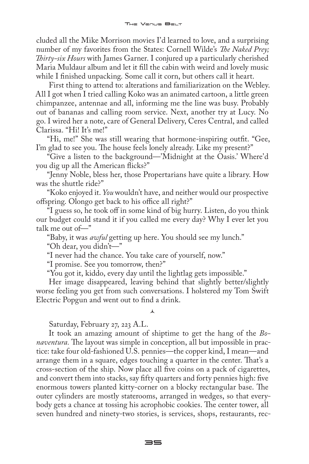cluded all the Mike Morrison movies I'd learned to love, and a surprising number of my favorites from the States: Cornell Wilde's *The Naked Prey; Thirty-six Hours* with James Garner. I conjured up a particularly cherished Maria Muldaur album and let it fill the cabin with weird and lovely music while I finished unpacking. Some call it corn, but others call it heart.

First thing to attend to: alterations and familiarization on the Webley. All I got when I tried calling Koko was an animated cartoon, a little green chimpanzee, antennae and all, informing me the line was busy. Probably out of bananas and calling room service. Next, another try at Lucy. No go. I wired her a note, care of General Delivery, Ceres Central, and called Clarissa. "Hi! It's me!"

"Hi, me!" She was still wearing that hormone-inspiring outfit. "Gee, I'm glad to see you. The house feels lonely already. Like my present?"

"Give a listen to the background—'Midnight at the Oasis.' Where'd you dig up all the American flicks?"

"Jenny Noble, bless her, those Propertarians have quite a library. How was the shuttle ride?"

"Koko enjoyed it. *You* wouldn't have, and neither would our prospective offspring. Olongo get back to his office all right?"

"I guess so, he took off in some kind of big hurry. Listen, do you think our budget could stand it if you called me every day? Why I ever let you talk me out of—"

"Baby, it was *awful* getting up here. You should see my lunch."

"Oh dear, you didn't—"

"I never had the chance. You take care of yourself, now."

"I promise. See you tomorrow, then?"

"You got it, kiddo, every day until the lightlag gets impossible."

Her image disappeared, leaving behind that slightly better/slightly worse feeling you get from such conversations. I holstered my Tom Swift Electric Popgun and went out to find a drink.

#### $\lambda$

Saturday, February 27, 223 A.L.

It took an amazing amount of shiptime to get the hang of the *Bonaventura.* The layout was simple in conception, all but impossible in practice: take four old-fashioned U.S. pennies—the copper kind, I mean—and arrange them in a square, edges touching a quarter in the center. That's a cross-section of the ship. Now place all five coins on a pack of cigarettes, and convert them into stacks, say fifty quarters and forty pennies high: five enormous towers planted kitty-corner on a blocky rectangular base. The outer cylinders are mostly staterooms, arranged in wedges, so that everybody gets a chance at tossing his acrophobic cookies. The center tower, all seven hundred and ninety-two stories, is services, shops, restaurants, rec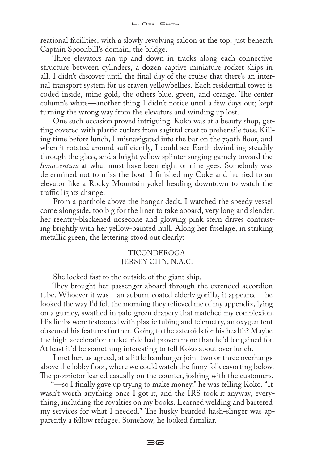reational facilities, with a slowly revolving saloon at the top, just beneath Captain Spoonbill's domain, the bridge.

Three elevators ran up and down in tracks along each connective structure between cylinders, a dozen captive miniature rocket ships in all. I didn't discover until the final day of the cruise that there's an internal transport system for us craven yellowbellies. Each residential tower is coded inside, mine gold, the others blue, green, and orange. The center column's white—another thing I didn't notice until a few days out; kept turning the wrong way from the elevators and winding up lost.

One such occasion proved intriguing. Koko was at a beauty shop, getting covered with plastic curlers from sagittal crest to prehensile toes. Killing time before lunch, I misnavigated into the bar on the 790th floor, and when it rotated around sufficiently, I could see Earth dwindling steadily through the glass, and a bright yellow splinter surging gamely toward the *Bonaventura* at what must have been eight or nine gees. Somebody was determined not to miss the boat. I finished my Coke and hurried to an elevator like a Rocky Mountain yokel heading downtown to watch the traffic lights change.

From a porthole above the hangar deck, I watched the speedy vessel come alongside, too big for the liner to take aboard, very long and slender, her reentry-blackened nosecone and glowing pink stern drives contrasting brightly with her yellow-painted hull. Along her fuselage, in striking metallic green, the lettering stood out clearly:

#### TICONDEROGA JERSEY CITY, N.A.C.

She locked fast to the outside of the giant ship.

They brought her passenger aboard through the extended accordion tube. Whoever it was—an auburn-coated elderly gorilla, it appeared—he looked the way I'd felt the morning they relieved me of my appendix, lying on a gurney, swathed in pale-green drapery that matched my complexion. His limbs were festooned with plastic tubing and telemetry, an oxygen tent obscured his features further. Going to the asteroids for his health? Maybe the high-acceleration rocket ride had proven more than he'd bargained for. At least it'd be something interesting to tell Koko about over lunch.

I met her, as agreed, at a little hamburger joint two or three overhangs above the lobby floor, where we could watch the finny folk cavorting below. The proprietor leaned casually on the counter, joshing with the customers.

"—so I finally gave up trying to make money," he was telling Koko. "It wasn't worth anything once I got it, and the IRS took it anyway, everything, including the royalties on my books. Learned welding and bartered my services for what I needed." The husky bearded hash-slinger was apparently a fellow refugee. Somehow, he looked familiar.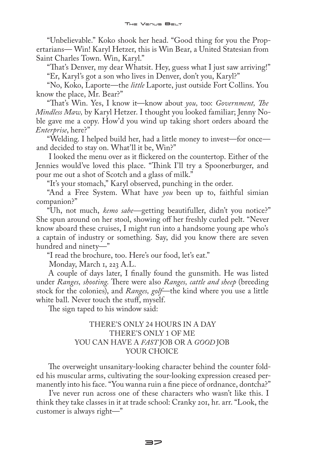"Unbelievable." Koko shook her head. "Good thing for you the Propertarians— Win! Karyl Hetzer, this is Win Bear, a United Statesian from Saint Charles Town. Win, Karyl."

"That's Denver, my dear Whatsit. Hey, guess what I just saw arriving!" "Er, Karyl's got a son who lives in Denver, don't you, Karyl?"

"No, Koko, Laporte—the *little* Laporte, just outside Fort Collins. You know the place, Mr. Bear?"

"That's Win. Yes, I know it—know about *you,* too: *Government, The Mindless Maw,* by Karyl Hetzer. I thought you looked familiar; Jenny Noble gave me a copy. How'd you wind up taking short orders aboard the *Enterprise*, here?"

"Welding. I helped build her, had a little money to invest—for once and decided to stay on. What'll it be, Win?"

I looked the menu over as it flickered on the countertop. Either of the Jennies would've loved this place. "Think I'll try a Spoonerburger, and pour me out a shot of Scotch and a glass of milk."

"It's your stomach," Karyl observed, punching in the order.

"And a Free System. What have *you* been up to, faithful simian companion?"

"Uh, not much, *kemo sabe—*getting beautifuller, didn't you notice?" She spun around on her stool, showing off her freshly curled pelt. "Never know aboard these cruises, I might run into a handsome young ape who's a captain of industry or something. Say, did you know there are seven hundred and ninety—"

"I read the brochure, too. Here's our food, let's eat."

Monday, March 1, 223 A.L.

A couple of days later, I finally found the gunsmith. He was listed under *Ranges, shooting*. There were also *Ranges, cattle and sheep* (breeding stock for the colonies), and *Ranges, golf*—the kind where you use a little white ball. Never touch the stuff, myself.

The sign taped to his window said:

#### THERE'S ONLY 24 HOURS IN A DAY THERE'S ONLY 1 OF ME YOU CAN HAVE A *FAST* JOB OR A *GOOD* JOB YOUR CHOICE

The overweight unsanitary-looking character behind the counter folded his muscular arms, cultivating the sour-looking expression creased permanently into his face. "You wanna ruin a fine piece of ordnance, dontcha?"

I've never run across one of these characters who wasn't like this. I think they take classes in it at trade school: Cranky 201, hr. arr. "Look, the customer is always right—"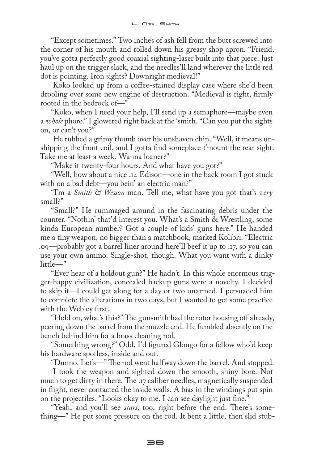"Except sometimes." Two inches of ash fell from the butt screwed into the corner of his mouth and rolled down his greasy shop apron. "Friend, you've gotta perfectly good coaxial sighting-laser built into that piece. Just haul up on the trigger slack, and the needles'll land wherever the little red dot is pointing. Iron sights? Downright medieval!"

Koko looked up from a coffee-stained display case where she'd been drooling over some new engine of destruction. "Medieval is right, firmly rooted in the bedrock of—"

"Koko, when I need your help, I'll send up a semaphore—maybe even a *whole* phore." I glowered right back at the 'smith. "Can you put the sights on, or can't you?"

He rubbed a grimy thumb over his unshaven chin. "Well, it means unshipping the front coil, and I gotta find someplace t'mount the rear sight. Take me at least a week. Wanna loaner?"

"Make it twenty-four hours. And what have you got?"

"Well, how about a nice .14 Edison—one in the back room I got stuck with on a bad debt—you bein' an electric man?"

"I'm a *Smith & Wesson* man. Tell me, what have you got that's *very*  small?"

"Small?" He rummaged around in the fascinating debris under the counter. "Nothin' that'd interest you. What's a Smith & Wrestling, some kinda European number? Got a couple of kids' guns here." He handed me a tiny weapon, no bigger than a matchbook, marked Kolibri. "Electric .09—probably got a barrel liner around here'll beef it up to .17, so you can use your own ammo. Single-shot, though. What you want with a dinky little—"

"Ever hear of a holdout gun?" He hadn't. In this whole enormous trigger-happy civilization, concealed backup guns were a novelty. I decided to skip it—I could get along for a day or two unarmed. I persuaded him to complete the alterations in two days, but I wanted to get some practice with the Webley first.

"Hold on, what's this?" The gunsmith had the rotor housing off already, peering down the barrel from the muzzle end. He fumbled absently on the bench behind him for a brass cleaning rod.

"Something wrong?" Odd, I'd figured Glongo for a fellow who'd keep his hardware spotless, inside and out.

"Dunno. Let's—" The rod went halfway down the barrel. And stopped.

I took the weapon and sighted down the smooth, shiny bore. Not much to get dirty in there. The .17 caliber needles, magnetically suspended in flight, never contacted the inside walls. A bias in the windings put spin on the projectiles. "Looks okay to me. I can see daylight just fine."

"Yeah, and you'll see *stars,* too, right before the end. There's something—" He put some pressure on the rod. It bent a little, then slid stub-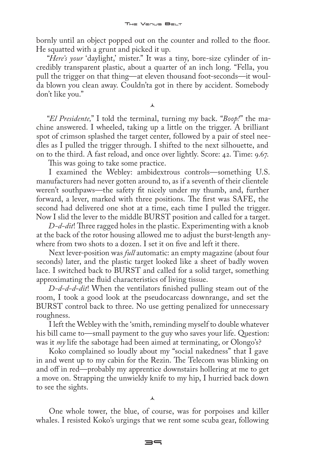bornly until an object popped out on the counter and rolled to the floor. He squatted with a grunt and picked it up.

"*Here's your* 'daylight,' mister." It was a tiny, bore-size cylinder of incredibly transparent plastic, about a quarter of an inch long. "Fella, you pull the trigger on that thing—at eleven thousand foot-seconds—it woulda blown you clean away. Couldn'ta got in there by accident. Somebody don't like you."

 $\lambda$ 

"*El Presidente,*" I told the terminal, turning my back. "*Boop!*" the machine answered. I wheeled, taking up a little on the trigger. A brilliant spot of crimson splashed the target center, followed by a pair of steel needles as I pulled the trigger through. I shifted to the next silhouette, and on to the third. A fast reload, and once over lightly. Score: 42. Time: 9.67.

This was going to take some practice.

I examined the Webley: ambidextrous controls—something U.S. manufacturers had never gotten around to, as if a seventh of their clientele weren't southpaws—the safety fit nicely under my thumb, and, further forward, a lever, marked with three positions. The first was SAFE, the second had delivered one shot at a time, each time I pulled the trigger. Now I slid the lever to the middle BURST position and called for a target.

*D-d-dit*! Three ragged holes in the plastic. Experimenting with a knob at the back of the rotor housing allowed me to adjust the burst-length anywhere from two shots to a dozen. I set it on five and left it there.

Next lever-position was *full* automatic: an empty magazine (about four seconds) later, and the plastic target looked like a sheet of badly woven lace. I switched back to BURST and called for a solid target, something approximating the fluid characteristics of living tissue.

*D-d-d-d-dit*! When the ventilators finished pulling steam out of the room, I took a good look at the pseudocarcass downrange, and set the BURST control back to three. No use getting penalized for unnecessary roughness.

I left the Webley with the 'smith, reminding myself to double whatever his bill came to—small payment to the guy who saves your life. Question: was it *my* life the sabotage had been aimed at terminating, or Olongo's?

Koko complained so loudly about my "social nakedness" that I gave in and went up to my cabin for the Rezin. The Telecom was blinking on and off in red—probably my apprentice downstairs hollering at me to get a move on. Strapping the unwieldy knife to my hip, I hurried back down to see the sights.

⋏

One whole tower, the blue, of course, was for porpoises and killer whales. I resisted Koko's urgings that we rent some scuba gear, following

 $\equiv$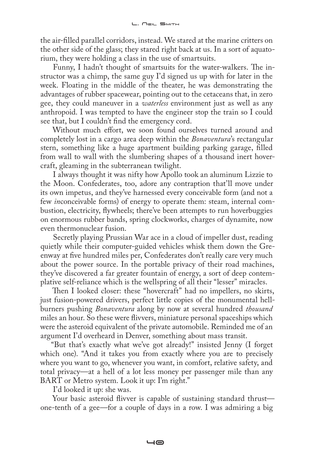the air-filled parallel corridors, instead. We stared at the marine critters on the other side of the glass; they stared right back at us. In a sort of aquatorium, they were holding a class in the use of smartsuits.

Funny, I hadn't thought of smartsuits for the water-walkers. The instructor was a chimp, the same guy I'd signed us up with for later in the week. Floating in the middle of the theater, he was demonstrating the advantages of rubber spacewear, pointing out to the cetaceans that, in zero gee, they could maneuver in a *waterless* environment just as well as any anthropoid. I was tempted to have the engineer stop the train so I could see that, but I couldn't find the emergency cord.

Without much effort, we soon found ourselves turned around and completely lost in a cargo area deep within the *Bonaventura*'s rectangular stern, something like a huge apartment building parking garage, filled from wall to wall with the slumbering shapes of a thousand inert hovercraft, gleaming in the subterranean twilight.

I always thought it was nifty how Apollo took an aluminum Lizzie to the Moon. Confederates, too, adore any contraption that'll move under its own impetus, and they've harnessed every conceivable form (and not a few *in*conceivable forms) of energy to operate them: steam, internal combustion, electricity, flywheels; there've been attempts to run hoverbuggies on enormous rubber bands, spring clockworks, charges of dynamite, now even thermonuclear fusion.

Secretly playing Prussian War ace in a cloud of impeller dust, reading quietly while their computer-guided vehicles whisk them down the Greenway at five hundred miles per, Confederates don't really care very much about the power source. In the portable privacy of their road machines, they've discovered a far greater fountain of energy, a sort of deep contemplative self-reliance which is the wellspring of all their "lesser" miracles.

Then I looked closer: these "hovercraft" had no impellers, no skirts, just fusion-powered drivers, perfect little copies of the monumental hellburners pushing *Bonaventura* along by now at several hundred *thousand*  miles an hour. So these were flivvers, miniature personal spaceships which were the asteroid equivalent of the private automobile. Reminded me of an argument I'd overheard in Denver, something about mass transit.

"But that's exactly what we've got already!" insisted Jenny (I forget which one). "And it takes you from exactly where you are to precisely where you want to go, whenever you want, in comfort, relative safety, and total privacy—at a hell of a lot less money per passenger mile than any BART or Metro system. Look it up: I'm right."

I'd looked it up: she was.

Your basic asteroid flivver is capable of sustaining standard thrust one-tenth of a gee—for a couple of days in a row. I was admiring a big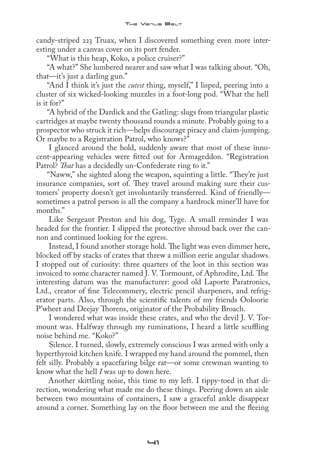candy-striped 223 Truax, when I discovered something even more interesting under a canvas cover on its port fender.

"What is this heap, Koko, a police cruiser?"

"A what?" She lumbered nearer and saw what I was talking about. "Oh, that—it's just a darling gun."

"And I think it's just the *cutest* thing, myself," I lisped, peering into a cluster of six wicked-looking muzzles in a foot-long pod. "What the hell is it for?"

"A hybrid of the Dardick and the Gatling: slugs from triangular plastic cartridges at maybe twenty thousand rounds a minute. Probably going to a prospector who struck it rich—helps discourage piracy and claim-jumping. Or maybe to a Registration Patrol, who knows?"

I glanced around the hold, suddenly aware that most of these innocent-appearing vehicles were fitted out for Armageddon. "Registration Patrol? *That* has a decidedly un-Confederate ring to it."

"Naww," she sighted along the weapon, squinting a little. "They're just insurance companies, sort of. They travel around making sure their customers' property doesn't get involuntarily transferred. Kind of friendly sometimes a patrol person is all the company a hardrock miner'll have for months."

Like Sergeant Preston and his dog, Tyge. A small reminder I was headed for the frontier. I slipped the protective shroud back over the cannon and continued looking for the egress.

Instead, I found another storage hold. The light was even dimmer here, blocked off by stacks of crates that threw a million eerie angular shadows. I stopped out of curiosity: three quarters of the loot in this section was invoiced to some character named J. V. Tormount, of Aphrodite, Ltd. The interesting datum was the manufacturer: good old Laporte Paratronics, Ltd., creator of fine Telecommery, electric pencil sharpeners, and refrigerator parts. Also, through the scientific talents of my friends Ooloorie P'wheet and Deejay Thorens, originator of the Probability Broach.

I wondered what was inside these crates, and who the devil J. V. Tormount was. Halfway through my ruminations, I heard a little scuffling noise behind me. "Koko?"

Silence. I turned, slowly, extremely conscious I was armed with only a hyperthyroid kitchen knife. I wrapped my hand around the pommel, then felt silly. Probably a spacefaring bilge rat—or some crewman wanting to know what the hell *I* was up to down here.

Another skittling noise, this time to my left. I tippy-toed in that direction, wondering what made me do these things. Peering down an aisle between two mountains of containers, I saw a graceful ankle disappear around a corner. Something lay on the floor between me and the fleeing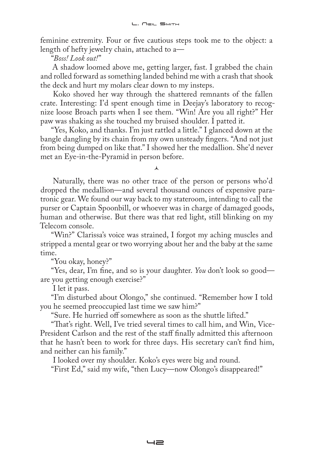feminine extremity. Four or five cautious steps took me to the object: a length of hefty jewelry chain, attached to a—

"*Boss! Look out!*"

A shadow loomed above me, getting larger, fast. I grabbed the chain and rolled forward as something landed behind me with a crash that shook the deck and hurt my molars clear down to my insteps.

Koko shoved her way through the shattered remnants of the fallen crate. Interesting: I'd spent enough time in Deejay's laboratory to recognize loose Broach parts when I see them. "Win! Are you all right?" Her paw was shaking as she touched my bruised shoulder. I patted it.

"Yes, Koko, and thanks. I'm just rattled a little." I glanced down at the bangle dangling by its chain from my own unsteady fingers. "And not just from being dumped on like that." I showed her the medallion. She'd never met an Eye-in-the-Pyramid in person before.

 $\lambda$ 

Naturally, there was no other trace of the person or persons who'd dropped the medallion—and several thousand ounces of expensive paratronic gear. We found our way back to my stateroom, intending to call the purser or Captain Spoonbill, or whoever was in charge of damaged goods, human and otherwise. But there was that red light, still blinking on my Telecom console.

"Win?" Clarissa's voice was strained, I forgot my aching muscles and stripped a mental gear or two worrying about her and the baby at the same time.

"You okay, honey?"

"Yes, dear, I'm fine, and so is your daughter. *You* don't look so good are you getting enough exercise?"

I let it pass.

"I'm disturbed about Olongo," she continued. "Remember how I told you he seemed preoccupied last time we saw him?"

"Sure. He hurried off somewhere as soon as the shuttle lifted."

"That's right. Well, I've tried several times to call him, and Win, Vice-President Carlson and the rest of the staff finally admitted this afternoon that he hasn't been to work for three days. His secretary can't find him, and neither can his family."

I looked over my shoulder. Koko's eyes were big and round.

"First Ed," said my wife, "then Lucy—now Olongo's disappeared!"

 $-2$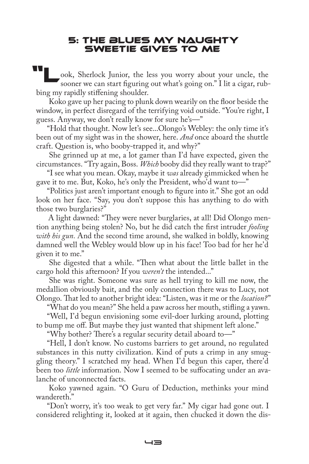#### 5: The Blues My Naughty Sweetie Gives to Me

ook, Sherlock Junior, the less you worry about your uncle, the sooner we can start figuring out what's going on." I lit a cigar, rubbing my rapidly stiffening shoulder.

Koko gave up her pacing to plunk down wearily on the floor beside the window, in perfect disregard of the terrifying void outside. "You're right, I guess. Anyway, we don't really know for sure he's—"

"Hold that thought. Now let's see...Olongo's Webley: the only time it's been out of my sight was in the shower, here. *And* once aboard the shuttle craft. Question is, who booby-trapped it, and why?"

She grinned up at me, a lot gamer than I'd have expected, given the circumstances. "Try again, Boss. *Which* booby did they really want to trap?"

"I see what you mean. Okay, maybe it *was* already gimmicked when he gave it to me. But, Koko, he's only the President, who'd want to—"

"Politics just aren't important enough to figure into it." She got an odd look on her face. "Say, you don't suppose this has anything to do with those two burglaries?"

A light dawned: "They were never burglaries, at all! Did Olongo mention anything being stolen? No, but he did catch the first intruder *fooling with his gun.* And the second time around, she walked in boldly, knowing damned well the Webley would blow up in his face! Too bad for her he'd given it to me."

She digested that a while. "Then what about the little ballet in the cargo hold this afternoon? If you *weren't* the intended..."

She was right. Someone was sure as hell trying to kill me now, the medallion obviously bait, and the only connection there was to Lucy, not Olongo. That led to another bright idea: "Listen, was it me or the *location?*"

"What do you mean?" She held a paw across her mouth, stifling a yawn. "Well, I'd begun envisioning some evil-doer lurking around, plotting to bump me off. But maybe they just wanted that shipment left alone."

"Why bother? There's a regular security detail aboard to—"

"Hell, I don't know. No customs barriers to get around, no regulated substances in this nutty civilization. Kind of puts a crimp in any smuggling theory." I scratched my head. When I'd begun this caper, there'd been too *little* information. Now I seemed to be suffocating under an avalanche of unconnected facts.

Koko yawned again. "O Guru of Deduction, methinks your mind wandereth."

"Don't worry, it's too weak to get very far." My cigar had gone out. I considered relighting it, looked at it again, then chucked it down the dis-

 $\overline{\phantom{a}}$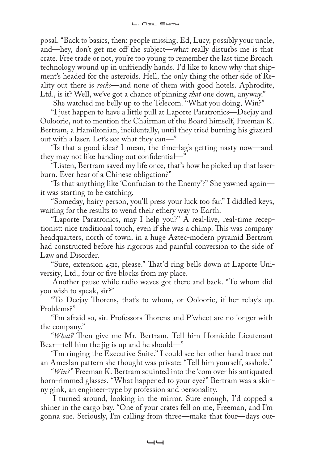posal. "Back to basics, then: people missing, Ed, Lucy, possibly your uncle, and—hey, don't get me off the subject—what really disturbs me is that crate. Free trade or not, you're too young to remember the last time Broach technology wound up in unfriendly hands. I'd like to know why that shipment's headed for the asteroids. Hell, the only thing the other side of Reality out there is *rocks*—and none of them with good hotels. Aphrodite, Ltd., is it? Well, we've got a chance of pinning *that* one down, anyway."

She watched me belly up to the Telecom. "What you doing, Win?"

"I just happen to have a little pull at Laporte Paratronics—Deejay and Ooloorie, not to mention the Chairman of the Board himself, Freeman K. Bertram, a Hamiltonian, incidentally, until they tried burning his gizzard out with a laser. Let's see what they can—"

"Is that a good idea? I mean, the time-lag's getting nasty now—and they may not like handing out confidential—"

"Listen, Bertram saved my life once, that's how he picked up that laserburn. Ever hear of a Chinese obligation?"

"Is that anything like 'Confucian to the Enemy'?" She yawned again it was starting to be catching.

"Someday, hairy person, you'll press your luck too far." I diddled keys, waiting for the results to wend their ethery way to Earth.

"Laporte Paratronics, may I help you?" A real-live, real-time receptionist: nice traditional touch, even if she was a chimp. This was company headquarters, north of town, in a huge Aztec-modern pyramid Bertram had constructed before his rigorous and painful conversion to the side of Law and Disorder.

"Sure, extension 4511, please." That'd ring bells down at Laporte University, Ltd., four or five blocks from my place.

Another pause while radio waves got there and back. "To whom did you wish to speak, sir?"

"To Deejay Thorens, that's to whom, or Ooloorie, if her relay's up. Problems?"

"I'm afraid so, sir. Professors Thorens and P'wheet are no longer with the company."

"*What?* Then give me Mr. Bertram. Tell him Homicide Lieutenant Bear—tell him the jig is up and he should—"

"I'm ringing the Executive Suite." I could see her other hand trace out an Ameslan pattern she thought was private: "Tell him yourself, asshole."

"*Win?*" Freeman K. Bertram squinted into the 'com over his antiquated horn-rimmed glasses. "What happened to your eye?" Bertram was a skinny gink, an engineer-type by profession and personality.

I turned around, looking in the mirror. Sure enough, I'd copped a shiner in the cargo bay. "One of your crates fell on me, Freeman, and I'm gonna sue. Seriously, I'm calling from three—make that four—days out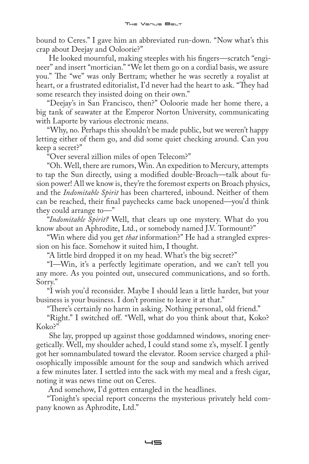bound to Ceres." I gave him an abbreviated run-down. "Now what's this crap about Deejay and Ooloorie?"

He looked mournful, making steeples with his fingers—scratch "engineer" and insert "mortician." "We let them go on a cordial basis, we assure you." The "we" was only Bertram; whether he was secretly a royalist at heart, or a frustrated editorialist, I'd never had the heart to ask. "They had some research they insisted doing on their own."

"Deejay's in San Francisco, then?" Ooloorie made her home there, a big tank of seawater at the Emperor Norton University, communicating with Laporte by various electronic means.

"Why, no. Perhaps this shouldn't be made public, but we weren't happy letting either of them go, and did some quiet checking around. Can you keep a secret?"

"Over several zillion miles of open Telecom?"

"Oh. Well, there are rumors, Win. An expedition to Mercury, attempts to tap the Sun directly, using a modified double-Broach—talk about fusion power! All we know is, they're the foremost experts on Broach physics, and the *Indomitable Spirit* has been chartered, inbound. Neither of them can be reached, their final paychecks came back unopened—you'd think they could arrange to—"

"*Indomitable Spirit?* Well, that clears up one mystery. What do you know about an Aphrodite, Ltd., or somebody named J.V. Tormount?"

"Win where did you get *that* information?" He had a strangled expression on his face. Somehow it suited him, I thought.

"A little bird dropped it on my head. What's the big secret?"

"I—Win, it's a perfectly legitimate operation, and we can't tell you any more. As you pointed out, unsecured communications, and so forth. Sorry."

"I wish you'd reconsider. Maybe I should lean a little harder, but your business is your business. I don't promise to leave it at that."

"There's certainly no harm in asking. Nothing personal, old friend."

"Right." I switched off. "Well, what do you think about that, Koko? Koko?"

She lay, propped up against those goddamned windows, snoring energetically. Well, my shoulder ached, I could stand some z's, myself. I gently got her somnambulated toward the elevator. Room service charged a philosophically impossible amount for the soup and sandwich which arrived a few minutes later. I settled into the sack with my meal and a fresh cigar, noting it was news time out on Ceres.

And somehow, I'd gotten entangled in the headlines.

"Tonight's special report concerns the mysterious privately held company known as Aphrodite, Ltd."

 $-5$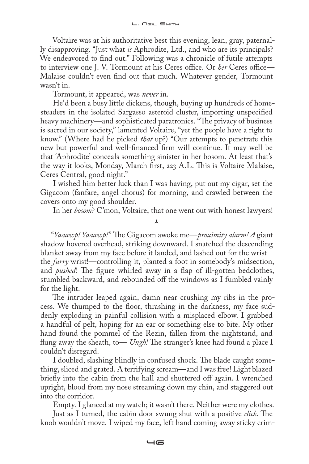Voltaire was at his authoritative best this evening, lean, gray, paternally disapproving. "Just what *is* Aphrodite, Ltd., and who are its principals? We endeavored to find out." Following was a chronicle of futile attempts to interview one J. V. Tormount at his Ceres office. Or *her* Ceres office— Malaise couldn't even find out that much. Whatever gender, Tormount wasn't in.

Tormount, it appeared, was *never* in.

He'd been a busy little dickens, though, buying up hundreds of homesteaders in the isolated Sargasso asteroid cluster, importing unspecified heavy machinery—and sophisticated paratronics. "The privacy of business is sacred in our society," lamented Voltaire, "yet the people have a right to know." (Where had he picked *that* up?) "Our attempts to penetrate this new but powerful and well-financed firm will continue. It may well be that 'Aphrodite' conceals something sinister in her bosom. At least that's the way it looks, Monday, March first, 223 A.L. This is Voltaire Malaise, Ceres Central, good night."

I wished him better luck than I was having, put out my cigar, set the Gigacom (fanfare, angel chorus) for morning, and crawled between the covers onto my good shoulder.

 $\pmb{\Lambda}$ 

In her *bosom*? C'mon, Voltaire, that one went out with honest lawyers!

"*Yaaawp! Yaaawp!*" The Gigacom awoke me—*proximity alarm! A* giant shadow hovered overhead, striking downward. I snatched the descending blanket away from my face before it landed, and lashed out for the wrist the *furry* wrist!—controlling it, planted a foot in somebody's midsection, and *pushed*! The figure whirled away in a flap of ill-gotten bedclothes, stumbled backward, and rebounded off the windows as I fumbled vainly for the light.

The intruder leaped again, damn near crushing my ribs in the process. We thumped to the floor, thrashing in the darkness, my face suddenly exploding in painful collision with a misplaced elbow. I grabbed a handful of pelt, hoping for an ear or something else to bite. My other hand found the pommel of the Rezin, fallen from the nightstand, and flung away the sheath, to— *Ungh!* The stranger's knee had found a place I couldn't disregard.

I doubled, slashing blindly in confused shock. The blade caught something, sliced and grated. A terrifying scream—and I was free! Light blazed briefly into the cabin from the hall and shuttered off again. I wrenched upright, blood from my nose streaming down my chin, and staggered out into the corridor.

Empty. I glanced at my watch; it wasn't there. Neither were my clothes.

Just as I turned, the cabin door swung shut with a positive *click*. The knob wouldn't move. I wiped my face, left hand coming away sticky crim-

 $-6$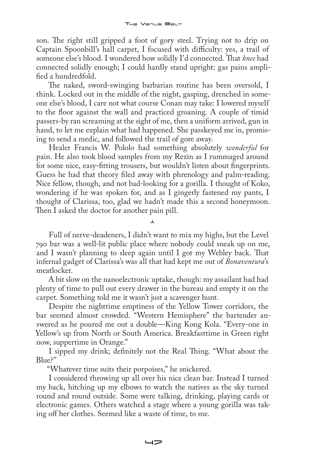son. The right still gripped a foot of gory steel. Trying not to drip on Captain Spoonbill's hall carpet, I focused with difficulty: yes, a trail of someone else's blood. I wondered how solidly I'd connected. That *knee* had connected solidly enough; I could hardly stand upright: gas pains amplified a hundredfold.

The naked, sword-swinging barbarian routine has been oversold, I think. Locked out in the middle of the night, gasping, drenched in someone else's blood, I care not what course Conan may take: I lowered myself to the floor against the wall and practiced groaning. A couple of timid passers-by ran screaming at the sight of me, then a uniform arrived, gun in hand, to let me explain what had happened. She passkeyed me in, promising to send a medic, and followed the trail of gore away.

Healer Francis W. Pololo had something absolutely *wonderful* for pain. He also took blood samples from my Rezin as I rummaged around for some nice, easy-fitting trousers, but wouldn't listen about fingerprints. Guess he had that theory filed away with phrenology and palm-reading. Nice fellow, though, and not bad-looking for a gorilla. I thought of Koko, wondering if he was spoken for, and as I gingerly fastened my pants, I thought of Clarissa, too, glad we hadn't made this a second honeymoon. Then I asked the doctor for another pain pill.

Full of nerve-deadeners, I didn't want to mix my highs, but the Level 790 bar was a well-lit public place where nobody could sneak up on me, and I wasn't planning to sleep again until I got my Webley back. That infernal gadget of Clarissa's was all that had kept me out of *Bonaventura*'s meatlocker.

 $\lambda$ 

A bit slow on the nanoelectronic uptake, though: my assailant had had plenty of time to pull out every drawer in the bureau and empty it on the carpet. Something told me it wasn't just a scavenger hunt.

Despite the nighttime emptiness of the Yellow Tower corridors, the bar seemed almost crowded. "Western Hemisphere" the bartender answered as he poured me out a double—King Kong Kola. "Every-one in Yellow's up from North or South America. Breakfasttime in Green right now, suppertime in Orange."

I sipped my drink; definitely not the Real Thing. "What about the Blue?''

"Whatever time suits their porpoises," he snickered.

I considered throwing up all over his nice clean bar. Instead I turned my back, hitching up my elbows to watch the natives as the sky turned round and round outside. Some were talking, drinking, playing cards or electronic games. Others watched a stage where a young gorilla was taking off her clothes. Seemed like a waste of time, to me.

 $\rightarrow$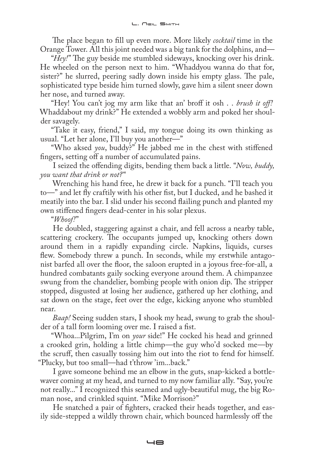The place began to fill up even more. More likely *cocktail* time in the Orange Tower. All this joint needed was a big tank for the dolphins, and—

"*Hey!*" The guy beside me stumbled sideways, knocking over his drink. He wheeled on the person next to him. "Whaddyou wanna do that for, sister?" he slurred, peering sadly down inside his empty glass. The pale, sophisticated type beside him turned slowly, gave him a silent sneer down her nose, and turned away.

"Hey! You can't jog my arm like that an' broff it osh . . *brush it off!*  Whaddabout my drink?" He extended a wobbly arm and poked her shoulder savagely.

"Take it easy, friend," I said, my tongue doing its own thinking as usual. "Let her alone, I'll buy you another—"

"Who aksed *you*, buddy?" He jabbed me in the chest with stiffened fingers, setting off a number of accumulated pains.

I seized the offending digits, bending them back a little. "*Now, buddy, you want that drink or not?*"

Wrenching his hand free, he drew it back for a punch. "I'll teach you to—" and let fly craftily with his other fist, but I ducked, and he bashed it meatily into the bar. I slid under his second flailing punch and planted my own stiffened fingers dead-center in his solar plexus.

"*Whoof!*"

He doubled, staggering against a chair, and fell across a nearby table, scattering crockery. The occupants jumped up, knocking others down around them in a rapidly expanding circle. Napkins, liquids, curses flew. Somebody threw a punch. In seconds, while my erstwhile antagonist barfed all over the floor, the saloon erupted in a joyous free-for-all, a hundred combatants gaily socking everyone around them. A chimpanzee swung from the chandelier, bombing people with onion dip. The stripper stopped, disgusted at losing her audience, gathered up her clothing, and sat down on the stage, feet over the edge, kicking anyone who stumbled near.

*Baap!* Seeing sudden stars, I shook my head, swung to grab the shoulder of a tall form looming over me. I raised a fist.

"Whoa...Pilgrim, I'm on *your* side!" He cocked his head and grinned a crooked grin, holding a little chimp—the guy who'd socked me—by the scruff, then casually tossing him out into the riot to fend for himself. "Plucky, but too small—had t'throw 'im...back."

I gave someone behind me an elbow in the guts, snap-kicked a bottlewaver coming at my head, and turned to my now familiar ally. "Say, you're not really..." I recognized this seamed and ugly-beautiful mug, the big Roman nose, and crinkled squint. "Mike Morrison?"

He snatched a pair of fighters, cracked their heads together, and easily side-stepped a wildly thrown chair, which bounced harmlessly off the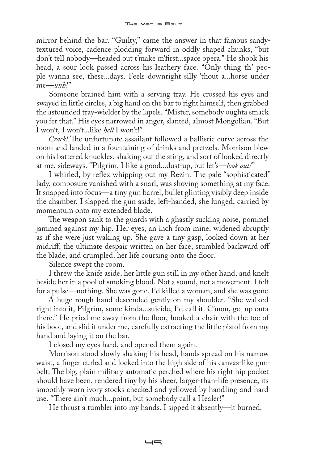mirror behind the bar. "Guilty," came the answer in that famous sandytextured voice, cadence plodding forward in oddly shaped chunks, "but don't tell nobody—headed out t'make m'first...space opera." He shook his head, a sour look passed across his leathery face. "Only thing th' people wanna see, these...days. Feels downright silly 'thout a...horse under me—*unh!*"

Someone brained him with a serving tray. He crossed his eyes and swayed in little circles, a big hand on the bar to right himself, then grabbed the astounded tray-wielder by the lapels. "Mister, somebody oughta smack you fer that." His eyes narrowed in anger, slanted, almost Mongolian. "But I won't, I won't...like *hell* I won't!"

*Crack!* The unfortunate assailant followed a ballistic curve across the room and landed in a fountaining of drinks and pretzels. Morrison blew on his battered knuckles, shaking out the sting, and sort of looked directly at me, sideways. "Pilgrim, I like a good...dust-up, but let's—*look out!*"

I whirled, by reflex whipping out my Rezin. The pale "sophisticated" lady, composure vanished with a snarl, was shoving something at my face. It snapped into focus—a tiny gun barrel, bullet glinting visibly deep inside the chamber. I slapped the gun aside, left-handed, she lunged, carried by momentum onto my extended blade.

The weapon sank to the guards with a ghastly sucking noise, pommel jammed against my hip. Her eyes, an inch from mine, widened abruptly as if she were just waking up. She gave a tiny gasp, looked down at her midriff, the ultimate despair written on her face, stumbled backward off the blade, and crumpled, her life coursing onto the floor.

Silence swept the room.

I threw the knife aside, her little gun still in my other hand, and knelt beside her in a pool of smoking blood. Not a sound, not a movement. I felt for a pulse—nothing. She was gone. I'd killed a woman, and she was gone.

A huge rough hand descended gently on my shoulder. "She walked right into it, Pilgrim, some kinda...suicide, I'd call it. C'mon, get up outa there." He pried me away from the floor, hooked a chair with the toe of his boot, and slid it under me, carefully extracting the little pistol from my hand and laying it on the bar.

I closed my eyes hard, and opened them again.

Morrison stood slowly shaking his head, hands spread on his narrow waist, a finger curled and locked into the high side of his canvas-like gunbelt. The big, plain military automatic perched where his right hip pocket should have been, rendered tiny by his sheer, larger-than-life presence, its smoothly worn ivory stocks checked and yellowed by handling and hard use. "There ain't much...point, but somebody call a Healer!"

He thrust a tumbler into my hands. I sipped it absently—it burned.

 $-$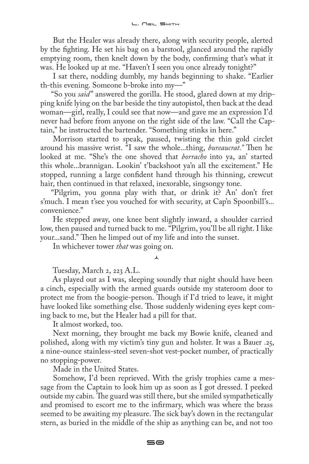But the Healer was already there, along with security people, alerted by the fighting. He set his bag on a barstool, glanced around the rapidly emptying room, then knelt down by the body, confirming that's what it was. He looked up at me. "Haven't I seen you once already tonight?"

I sat there, nodding dumbly, my hands beginning to shake. "Earlier th-this evening. Someone b-broke into my—"

"So you *said*" answered the gorilla. He stood, glared down at my dripping knife lying on the bar beside the tiny autopistol, then back at the dead woman—girl, really, I could see that now—and gave me an expression I'd never had before from anyone on the right side of the law. "Call the Captain," he instructed the bartender. "Something stinks in here."

Morrison started to speak, paused, twisting the thin gold circlet around his massive wrist. "I saw the whole...thing, *bureaucrat."* Then he looked at me. "She's the one shoved that *borracho* into ya, an' started this whole...brannigan. Lookin' t'backshoot ya'n all the excitement." He stopped, running a large confident hand through his thinning, crewcut hair, then continued in that relaxed, inexorable, singsongy tone.

"Pilgrim, you gonna play with that, or drink it? An' don't fret s'much. I mean t'see you vouched for with security, at Cap'n Spoonbill's... convenience."

He stepped away, one knee bent slightly inward, a shoulder carried low, then paused and turned back to me. "Pilgrim, you'll be all right. I like your...sand." Then he limped out of my life and into the sunset.

In whichever tower *that* was going on.

 $\lambda$ 

Tuesday, March 2, 223 A.L.

As played out as I was, sleeping soundly that night should have been a cinch, especially with the armed guards outside my stateroom door to protect me from the boogie-person. Though if I'd tried to leave, it might have looked like something else. Those suddenly widening eyes kept coming back to me, but the Healer had a pill for that.

It almost worked, too.

Next morning, they brought me back my Bowie knife, cleaned and polished, along with my victim's tiny gun and holster. It was a Bauer .25, a nine-ounce stainless-steel seven-shot vest-pocket number, of practically no stopping-power.

Made in the United States.

Somehow, I'd been reprieved. With the grisly trophies came a message from the Captain to look him up as soon as I got dressed. I peeked outside my cabin. The guard was still there, but she smiled sympathetically and promised to escort me to the infirmary, which was where the brass seemed to be awaiting my pleasure. The sick bay's down in the rectangular stern, as buried in the middle of the ship as anything can be, and not too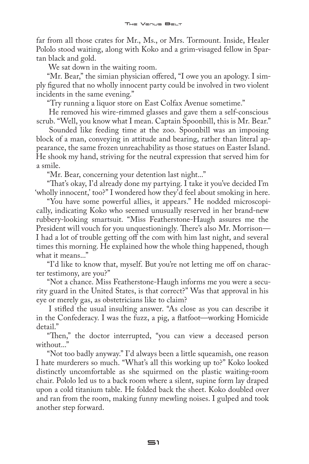far from all those crates for Mr., Ms., or Mrs. Tormount. Inside, Healer Pololo stood waiting, along with Koko and a grim-visaged fellow in Spartan black and gold.

We sat down in the waiting room.

"Mr. Bear," the simian physician offered, "I owe you an apology. I simply figured that no wholly innocent party could be involved in two violent incidents in the same evening."

"Try running a liquor store on East Colfax Avenue sometime."

He removed his wire-rimmed glasses and gave them a self-conscious scrub. "Well, you know what I mean. Captain Spoonbill, this is Mr. Bear."

Sounded like feeding time at the zoo. Spoonbill was an imposing block of a man, conveying in attitude and bearing, rather than literal appearance, the same frozen unreachability as those statues on Easter Island. He shook my hand, striving for the neutral expression that served him for a smile.

"Mr. Bear, concerning your detention last night..."

"That's okay, I'd already done my partying. I take it you've decided I'm 'wholly innocent,' too?" I wondered how they'd feel about smoking in here.

"You have some powerful allies, it appears." He nodded microscopically, indicating Koko who seemed unusually reserved in her brand-new rubbery-looking smartsuit. "Miss Featherstone-Haugh assures me the President will vouch for you unquestioningly. There's also Mr. Morrison— I had a lot of trouble getting off the com with him last night, and several times this morning. He explained how the whole thing happened, though what it means..."

"I'd like to know that, myself. But you're not letting me off on character testimony, are you?"

"Not a chance. Miss Featherstone-Haugh informs me you were a security guard in the United States, is that correct?" Was that approval in his eye or merely gas, as obstetricians like to claim?

I stifled the usual insulting answer. "As close as you can describe it in the Confederacy. I was the fuzz, a pig, a flatfoot—working Homicide detail."

"Then," the doctor interrupted, "you can view a deceased person without...'

"Not too badly anyway." I'd always been a little squeamish, one reason I hate murderers so much. "What's all this working up to?" Koko looked distinctly uncomfortable as she squirmed on the plastic waiting-room chair. Pololo led us to a back room where a silent, supine form lay draped upon a cold titanium table. He folded back the sheet. Koko doubled over and ran from the room, making funny mewling noises. I gulped and took another step forward.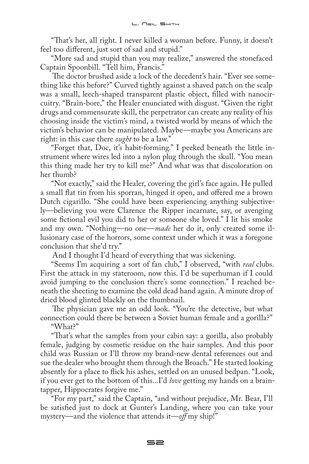"That's her, all right. I never killed a woman before. Funny, it doesn't feel too different, just sort of sad and stupid."

"More sad and stupid than you may realize," answered the stonefaced Captain Spoonbill. "Tell him, Francis."

The doctor brushed aside a lock of the decedent's hair. "Ever see something like this before?" Curved tightly against a shaved patch on the scalp was a small, leech-shaped transparent plastic object, filled with nanocircuitry. "Brain-bore," the Healer enunciated with disgust. "Given the right drugs and commensurate skill, the perpetrator can create any reality of his choosing inside the victim's mind, a twisted world by means of which the victim's behavior can be manipulated. Maybe—maybe you Americans are right: in this case there *ought* to be a law."

"Forget that, Doc, it's habit-forming." I peeked beneath the little instrument where wires led into a nylon plug through the skull. "You mean this thing made her try to kill me?" And what was that discoloration on her thumb?

"Not exactly," said the Healer, covering the girl's face again. He pulled a small flat tin from his sporran, hinged it open, and offered me a brown Dutch cigarillo. "She could have been experiencing anything subjectively—believing you were Clarence the Ripper incarnate, say, or avenging some fictional evil you did to her or someone she loved." I lit his smoke and my own. "Nothing—no one—*made* her do it, only created some illusionary case of the horrors, some context under which it was a foregone conclusion that she'd try."

And I thought I'd heard of everything that was sickening.

"Seems I'm acquiring a sort of fan club," I observed, "with *real* clubs. First the attack in my stateroom, now this. I'd be superhuman if I could avoid jumping to the conclusion there's some connection." I reached beneath the sheeting to examine the cold dead hand again. A minute drop of dried blood glinted blackly on the thumbnail.

The physician gave me an odd look. "You're the detective, but what connection could there be between a Soviet human female and a gorilla?" "What?"

"That's what the samples from your cabin say: a gorilla, also probably female, judging by cosmetic residue on the hair samples. And this poor child was Russian or I'll throw my brand-new dental references out and sue the dealer who brought them through the Broach." He started looking absently for a place to flick his ashes, settled on an unused bedpan. "Look, if you ever get to the bottom of this...I'd *love* getting my hands on a braintapper, Hippocrates forgive me."

"For my part," said the Captain, "and without prejudice, Mr. Bear, I'll be satisfied just to dock at Gunter's Landing, where you can take your mystery—and the violence that attends it—*off* my ship!"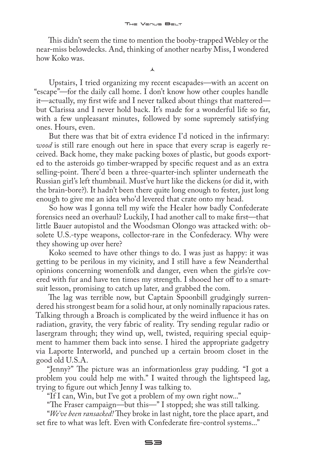This didn't seem the time to mention the booby-trapped Webley or the near-miss belowdecks. And, thinking of another nearby Miss, I wondered how Koko was.

 $\lambda$ 

Upstairs, I tried organizing my recent escapades—with an accent on "escape"—for the daily call home. I don't know how other couples handle it—actually, my first wife and I never talked about things that mattered but Clarissa and I never hold back. It's made for a wonderful life so far, with a few unpleasant minutes, followed by some supremely satisfying ones. Hours, even.

But there was that bit of extra evidence I'd noticed in the infirmary: *wood* is still rare enough out here in space that every scrap is eagerly received. Back home, they make packing boxes of plastic, but goods exported to the asteroids go timber-wrapped by specific request and as an extra selling-point. There'd been a three-quarter-inch splinter underneath the Russian girl's left thumbnail. Must've hurt like the dickens (or did it, with the brain-bore?). It hadn't been there quite long enough to fester, just long enough to give me an idea who'd levered that crate onto my head.

So how was I gonna tell my wife the Healer how badly Confederate forensics need an overhaul? Luckily, I had another call to make first—that little Bauer autopistol and the Woodsman Olongo was attacked with: obsolete U.S.-type weapons, collector-rare in the Confederacy. Why were they showing up over here?

Koko seemed to have other things to do. I was just as happy: it was getting to be perilous in my vicinity, and I still have a few Neanderthal opinions concerning womenfolk and danger, even when the girls're covered with fur and have ten times my strength. I shooed her off to a smartsuit lesson, promising to catch up later, and grabbed the com.

The lag was terrible now, but Captain Spoonbill grudgingly surrendered his strongest beam for a solid hour, at only nominally rapacious rates. Talking through a Broach is complicated by the weird influence it has on radiation, gravity, the very fabric of reality. Try sending regular radio or lasergram through; they wind up, well, twisted, requiring special equipment to hammer them back into sense. I hired the appropriate gadgetry via Laporte Interworld, and punched up a certain broom closet in the good old U.S.A.

"Jenny?" The picture was an informationless gray pudding. "I got a problem you could help me with." I waited through the lightspeed lag, trying to figure out which Jenny I was talking to.

"If I can, Win, but I've got a problem of my own right now..."

"The Fraser campaign—but this—" I stopped; she was still talking. "*We've been ransacked!* They broke in last night, tore the place apart, and set fire to what was left. Even with Confederate fire-control systems..."